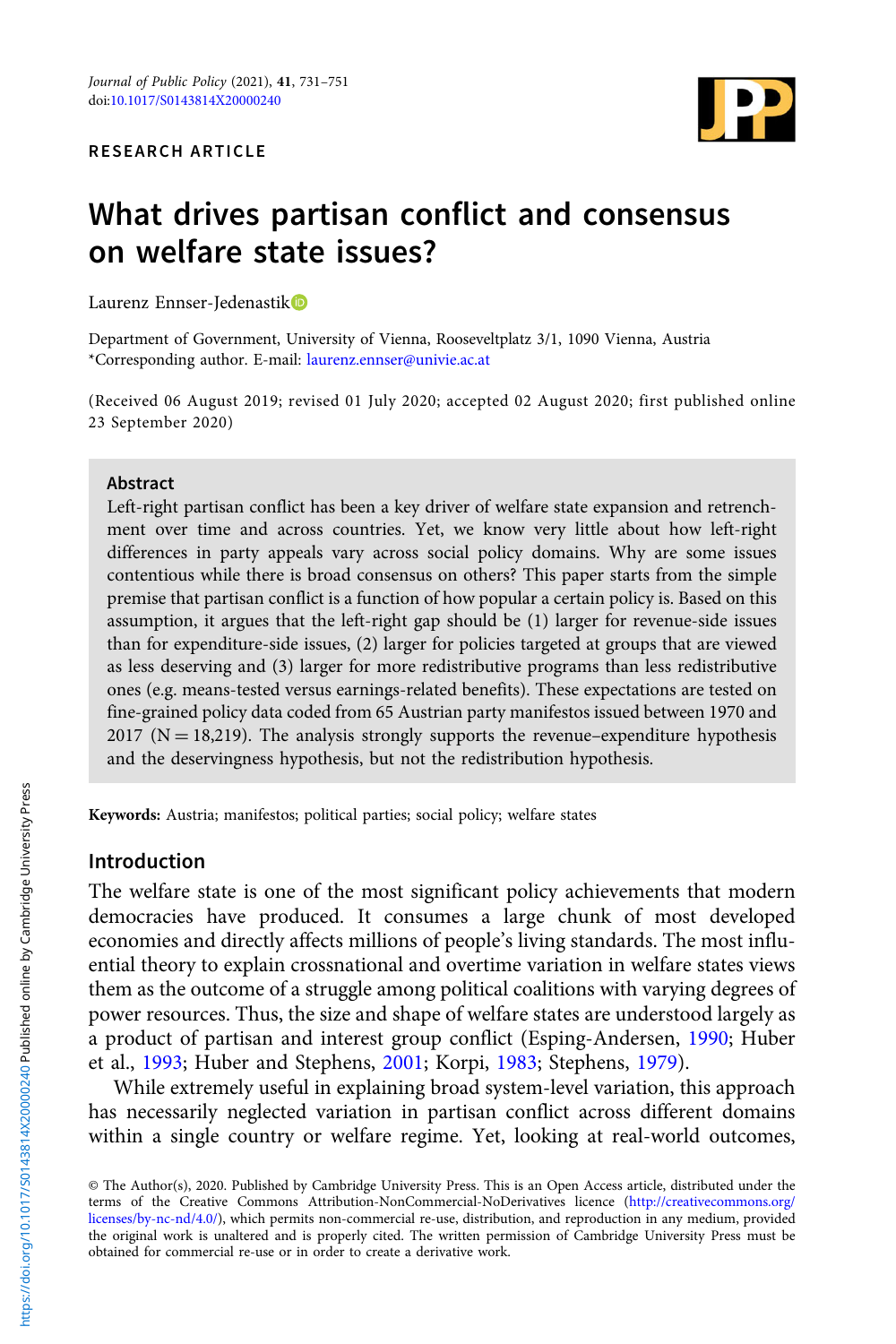

# What drives partisan conflict and consensus on welfare state issues?

Laurenz Ennser-Jedenastik

Department of Government, University of Vienna, Rooseveltplatz 3/1, 1090 Vienna, Austria \*Corresponding author. E-mail: [laurenz.ennser@univie.ac.at](mailto:laurenz.ennser@univie.ac.at)

(Received 06 August 2019; revised 01 July 2020; accepted 02 August 2020; first published online 23 September 2020)

#### Abstract

Left-right partisan conflict has been a key driver of welfare state expansion and retrenchment over time and across countries. Yet, we know very little about how left-right differences in party appeals vary across social policy domains. Why are some issues contentious while there is broad consensus on others? This paper starts from the simple premise that partisan conflict is a function of how popular a certain policy is. Based on this assumption, it argues that the left-right gap should be (1) larger for revenue-side issues than for expenditure-side issues, (2) larger for policies targeted at groups that are viewed as less deserving and (3) larger for more redistributive programs than less redistributive ones (e.g. means-tested versus earnings-related benefits). These expectations are tested on fine-grained policy data coded from 65 Austrian party manifestos issued between 1970 and  $2017$  ( $N = 18,219$ ). The analysis strongly supports the revenue–expenditure hypothesis and the deservingness hypothesis, but not the redistribution hypothesis.

Keywords: Austria; manifestos; political parties; social policy; welfare states

## Introduction

The welfare state is one of the most significant policy achievements that modern democracies have produced. It consumes a large chunk of most developed economies and directly affects millions of people's living standards. The most influential theory to explain crossnational and overtime variation in welfare states views them as the outcome of a struggle among political coalitions with varying degrees of power resources. Thus, the size and shape of welfare states are understood largely as a product of partisan and interest group conflict (Esping-Andersen, [1990](#page-18-0); Huber et al., [1993;](#page-18-0) Huber and Stephens, [2001;](#page-18-0) Korpi, [1983](#page-19-0); Stephens, [1979\)](#page-20-0).

While extremely useful in explaining broad system-level variation, this approach has necessarily neglected variation in partisan conflict across different domains within a single country or welfare regime. Yet, looking at real-world outcomes,

<sup>©</sup> The Author(s), 2020. Published by Cambridge University Press. This is an Open Access article, distributed under the terms of the Creative Commons Attribution-NonCommercial-NoDerivatives licence ([http://creativecommons.org/](http://creativecommons.org/licenses/by-nc-nd/4.0/) [licenses/by-nc-nd/4.0/\)](http://creativecommons.org/licenses/by-nc-nd/4.0/), which permits non-commercial re-use, distribution, and reproduction in any medium, provided the original work is unaltered and is properly cited. The written permission of Cambridge University Press must be obtained for commercial re-use or in order to create a derivative work.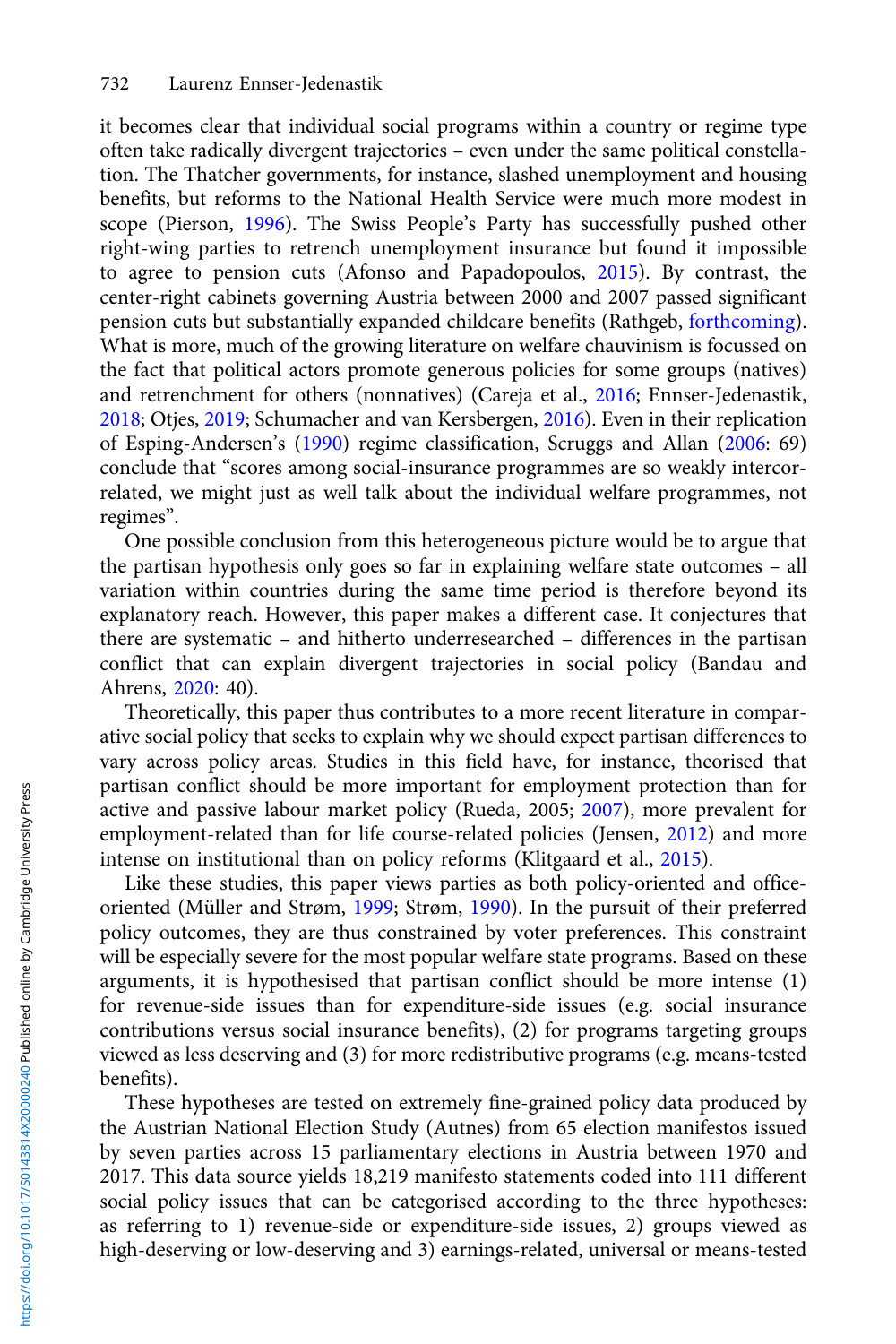it becomes clear that individual social programs within a country or regime type often take radically divergent trajectories – even under the same political constellation. The Thatcher governments, for instance, slashed unemployment and housing benefits, but reforms to the National Health Service were much more modest in scope (Pierson, [1996](#page-19-0)). The Swiss People's Party has successfully pushed other right-wing parties to retrench unemployment insurance but found it impossible to agree to pension cuts (Afonso and Papadopoulos, [2015\)](#page-17-0). By contrast, the center-right cabinets governing Austria between 2000 and 2007 passed significant pension cuts but substantially expanded childcare benefits (Rathgeb, [forthcoming](#page-19-0)). What is more, much of the growing literature on welfare chauvinism is focussed on the fact that political actors promote generous policies for some groups (natives) and retrenchment for others (nonnatives) (Careja et al., [2016;](#page-18-0) Ennser-Jedenastik, [2018;](#page-18-0) Otjes, [2019;](#page-19-0) Schumacher and van Kersbergen, [2016\)](#page-20-0). Even in their replication of Esping-Andersen's [\(1990\)](#page-18-0) regime classification, Scruggs and Allan [\(2006](#page-20-0): 69) conclude that "scores among social-insurance programmes are so weakly intercorrelated, we might just as well talk about the individual welfare programmes, not regimes".

One possible conclusion from this heterogeneous picture would be to argue that the partisan hypothesis only goes so far in explaining welfare state outcomes – all variation within countries during the same time period is therefore beyond its explanatory reach. However, this paper makes a different case. It conjectures that there are systematic – and hitherto underresearched – differences in the partisan conflict that can explain divergent trajectories in social policy (Bandau and Ahrens, [2020](#page-17-0): 40).

Theoretically, this paper thus contributes to a more recent literature in comparative social policy that seeks to explain why we should expect partisan differences to vary across policy areas. Studies in this field have, for instance, theorised that partisan conflict should be more important for employment protection than for active and passive labour market policy (Rueda, 2005; [2007](#page-20-0)), more prevalent for employment-related than for life course-related policies (Jensen, [2012](#page-19-0)) and more intense on institutional than on policy reforms (Klitgaard et al., [2015](#page-19-0)).

Like these studies, this paper views parties as both policy-oriented and officeoriented (Müller and Strøm, [1999](#page-19-0); Strøm, [1990\)](#page-20-0). In the pursuit of their preferred policy outcomes, they are thus constrained by voter preferences. This constraint will be especially severe for the most popular welfare state programs. Based on these arguments, it is hypothesised that partisan conflict should be more intense (1) for revenue-side issues than for expenditure-side issues (e.g. social insurance contributions versus social insurance benefits), (2) for programs targeting groups viewed as less deserving and (3) for more redistributive programs (e.g. means-tested benefits).

These hypotheses are tested on extremely fine-grained policy data produced by the Austrian National Election Study (Autnes) from 65 election manifestos issued by seven parties across 15 parliamentary elections in Austria between 1970 and 2017. This data source yields 18,219 manifesto statements coded into 111 different social policy issues that can be categorised according to the three hypotheses: as referring to 1) revenue-side or expenditure-side issues, 2) groups viewed as high-deserving or low-deserving and 3) earnings-related, universal or means-tested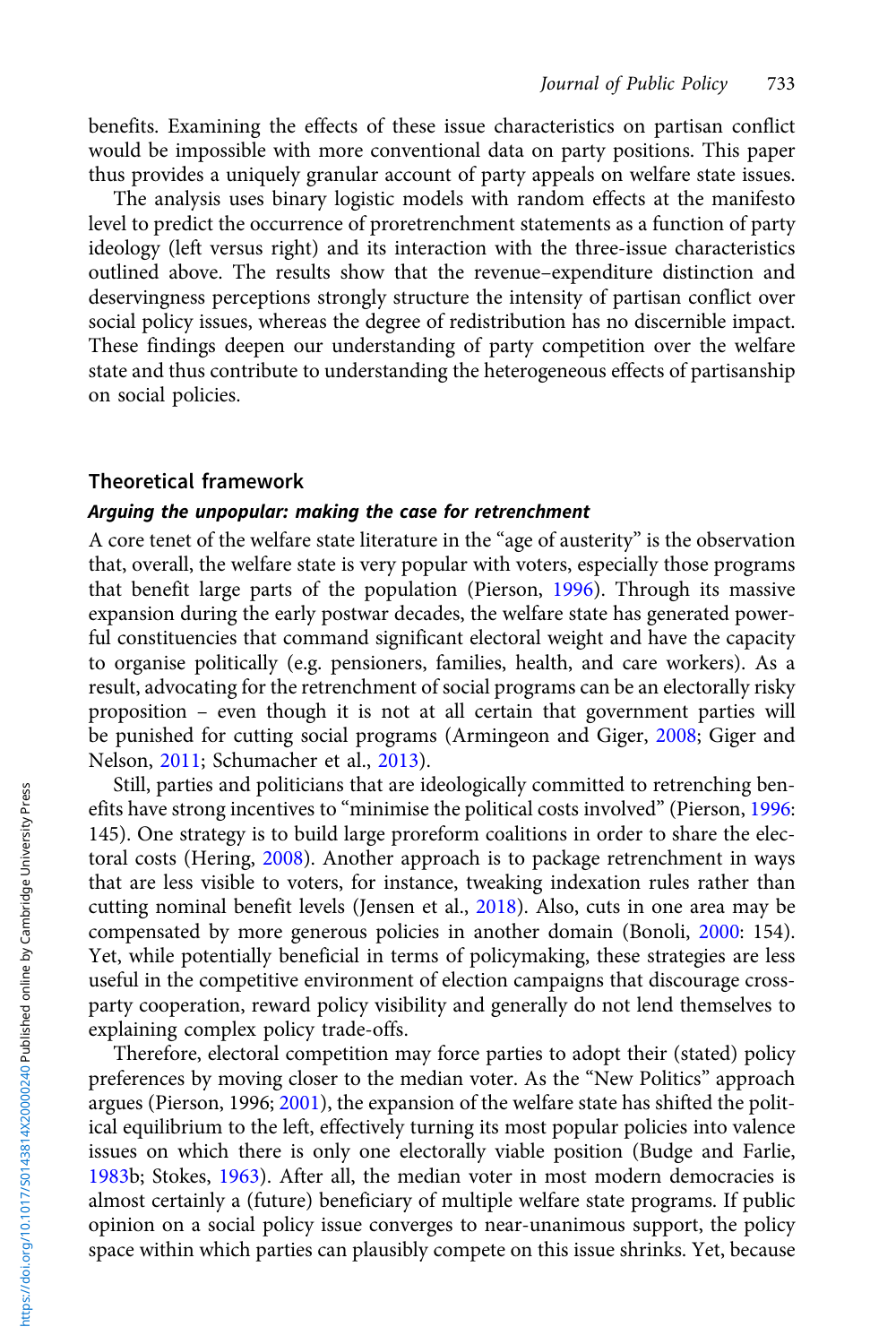benefits. Examining the effects of these issue characteristics on partisan conflict would be impossible with more conventional data on party positions. This paper thus provides a uniquely granular account of party appeals on welfare state issues.

The analysis uses binary logistic models with random effects at the manifesto level to predict the occurrence of proretrenchment statements as a function of party ideology (left versus right) and its interaction with the three-issue characteristics outlined above. The results show that the revenue–expenditure distinction and deservingness perceptions strongly structure the intensity of partisan conflict over social policy issues, whereas the degree of redistribution has no discernible impact. These findings deepen our understanding of party competition over the welfare state and thus contribute to understanding the heterogeneous effects of partisanship on social policies.

## Theoretical framework

## Arguing the unpopular: making the case for retrenchment

A core tenet of the welfare state literature in the "age of austerity" is the observation that, overall, the welfare state is very popular with voters, especially those programs that benefit large parts of the population (Pierson, [1996](#page-19-0)). Through its massive expansion during the early postwar decades, the welfare state has generated powerful constituencies that command significant electoral weight and have the capacity to organise politically (e.g. pensioners, families, health, and care workers). As a result, advocating for the retrenchment of social programs can be an electorally risky proposition – even though it is not at all certain that government parties will be punished for cutting social programs (Armingeon and Giger, [2008](#page-17-0); Giger and Nelson, [2011;](#page-18-0) Schumacher et al., [2013](#page-20-0)).

Still, parties and politicians that are ideologically committed to retrenching benefits have strong incentives to "minimise the political costs involved" (Pierson, [1996](#page-19-0): 145). One strategy is to build large proreform coalitions in order to share the electoral costs (Hering, [2008\)](#page-18-0). Another approach is to package retrenchment in ways that are less visible to voters, for instance, tweaking indexation rules rather than cutting nominal benefit levels (Jensen et al., [2018](#page-19-0)). Also, cuts in one area may be compensated by more generous policies in another domain (Bonoli, [2000:](#page-17-0) 154). Yet, while potentially beneficial in terms of policymaking, these strategies are less useful in the competitive environment of election campaigns that discourage crossparty cooperation, reward policy visibility and generally do not lend themselves to explaining complex policy trade-offs.

Therefore, electoral competition may force parties to adopt their (stated) policy preferences by moving closer to the median voter. As the "New Politics" approach argues (Pierson, 1996; [2001\)](#page-19-0), the expansion of the welfare state has shifted the political equilibrium to the left, effectively turning its most popular policies into valence issues on which there is only one electorally viable position (Budge and Farlie, [1983](#page-18-0)b; Stokes, [1963\)](#page-20-0). After all, the median voter in most modern democracies is almost certainly a (future) beneficiary of multiple welfare state programs. If public opinion on a social policy issue converges to near-unanimous support, the policy space within which parties can plausibly compete on this issue shrinks. Yet, because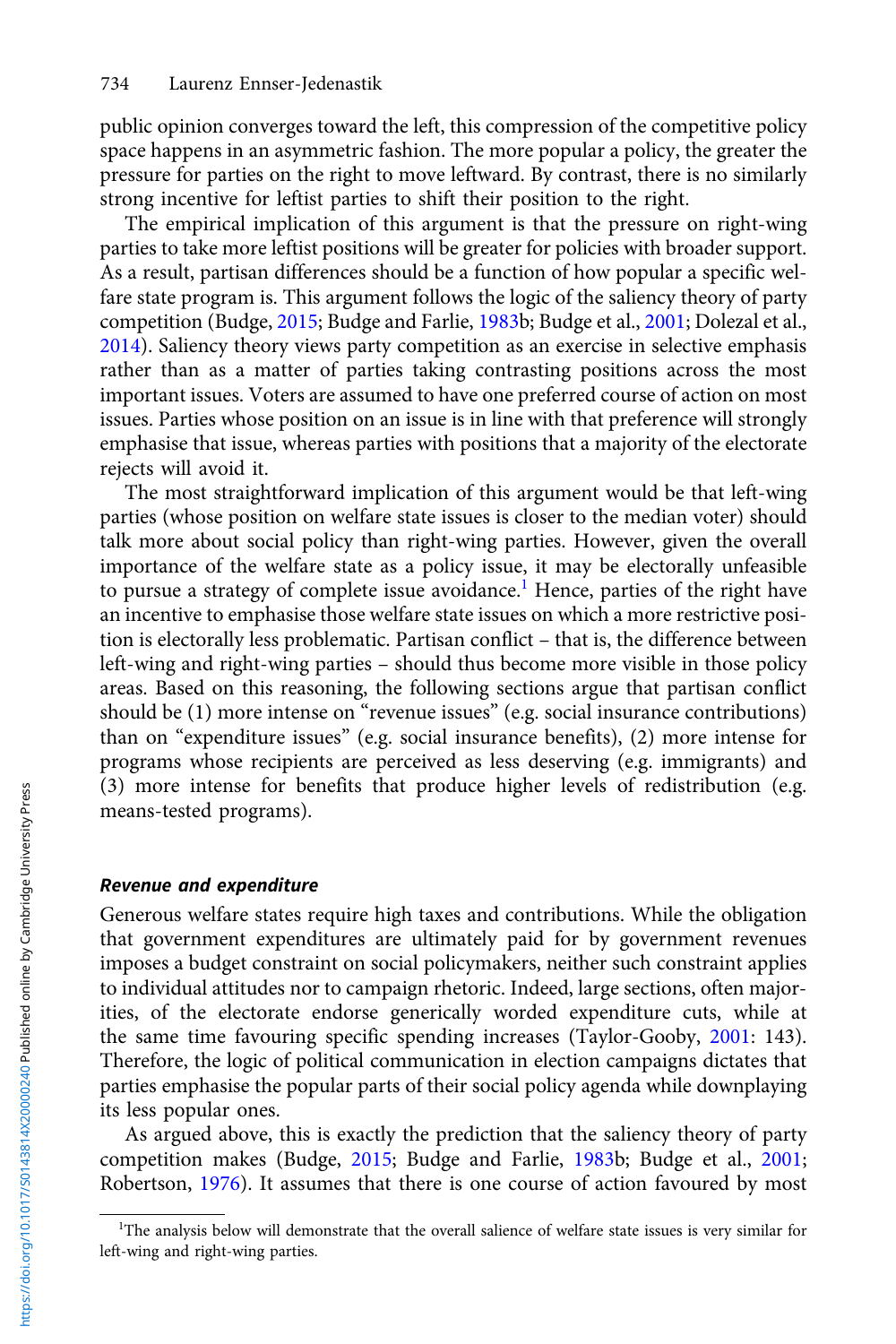public opinion converges toward the left, this compression of the competitive policy space happens in an asymmetric fashion. The more popular a policy, the greater the pressure for parties on the right to move leftward. By contrast, there is no similarly strong incentive for leftist parties to shift their position to the right.

The empirical implication of this argument is that the pressure on right-wing parties to take more leftist positions will be greater for policies with broader support. As a result, partisan differences should be a function of how popular a specific welfare state program is. This argument follows the logic of the saliency theory of party competition (Budge, [2015;](#page-18-0) Budge and Farlie, [1983b](#page-18-0); Budge et al., [2001;](#page-18-0) Dolezal et al., [2014\)](#page-18-0). Saliency theory views party competition as an exercise in selective emphasis rather than as a matter of parties taking contrasting positions across the most important issues. Voters are assumed to have one preferred course of action on most issues. Parties whose position on an issue is in line with that preference will strongly emphasise that issue, whereas parties with positions that a majority of the electorate rejects will avoid it.

The most straightforward implication of this argument would be that left-wing parties (whose position on welfare state issues is closer to the median voter) should talk more about social policy than right-wing parties. However, given the overall importance of the welfare state as a policy issue, it may be electorally unfeasible to pursue a strategy of complete issue avoidance.<sup>1</sup> Hence, parties of the right have an incentive to emphasise those welfare state issues on which a more restrictive position is electorally less problematic. Partisan conflict – that is, the difference between left-wing and right-wing parties – should thus become more visible in those policy areas. Based on this reasoning, the following sections argue that partisan conflict should be (1) more intense on "revenue issues" (e.g. social insurance contributions) than on "expenditure issues" (e.g. social insurance benefits), (2) more intense for programs whose recipients are perceived as less deserving (e.g. immigrants) and (3) more intense for benefits that produce higher levels of redistribution (e.g. means-tested programs).

#### Revenue and expenditure

Generous welfare states require high taxes and contributions. While the obligation that government expenditures are ultimately paid for by government revenues imposes a budget constraint on social policymakers, neither such constraint applies to individual attitudes nor to campaign rhetoric. Indeed, large sections, often majorities, of the electorate endorse generically worded expenditure cuts, while at the same time favouring specific spending increases (Taylor-Gooby, [2001:](#page-20-0) 143). Therefore, the logic of political communication in election campaigns dictates that parties emphasise the popular parts of their social policy agenda while downplaying its less popular ones.

As argued above, this is exactly the prediction that the saliency theory of party competition makes (Budge, [2015;](#page-18-0) Budge and Farlie, [1983](#page-18-0)b; Budge et al., [2001;](#page-18-0) Robertson, [1976\)](#page-19-0). It assumes that there is one course of action favoured by most

<sup>&</sup>lt;sup>1</sup>The analysis below will demonstrate that the overall salience of welfare state issues is very similar for left-wing and right-wing parties.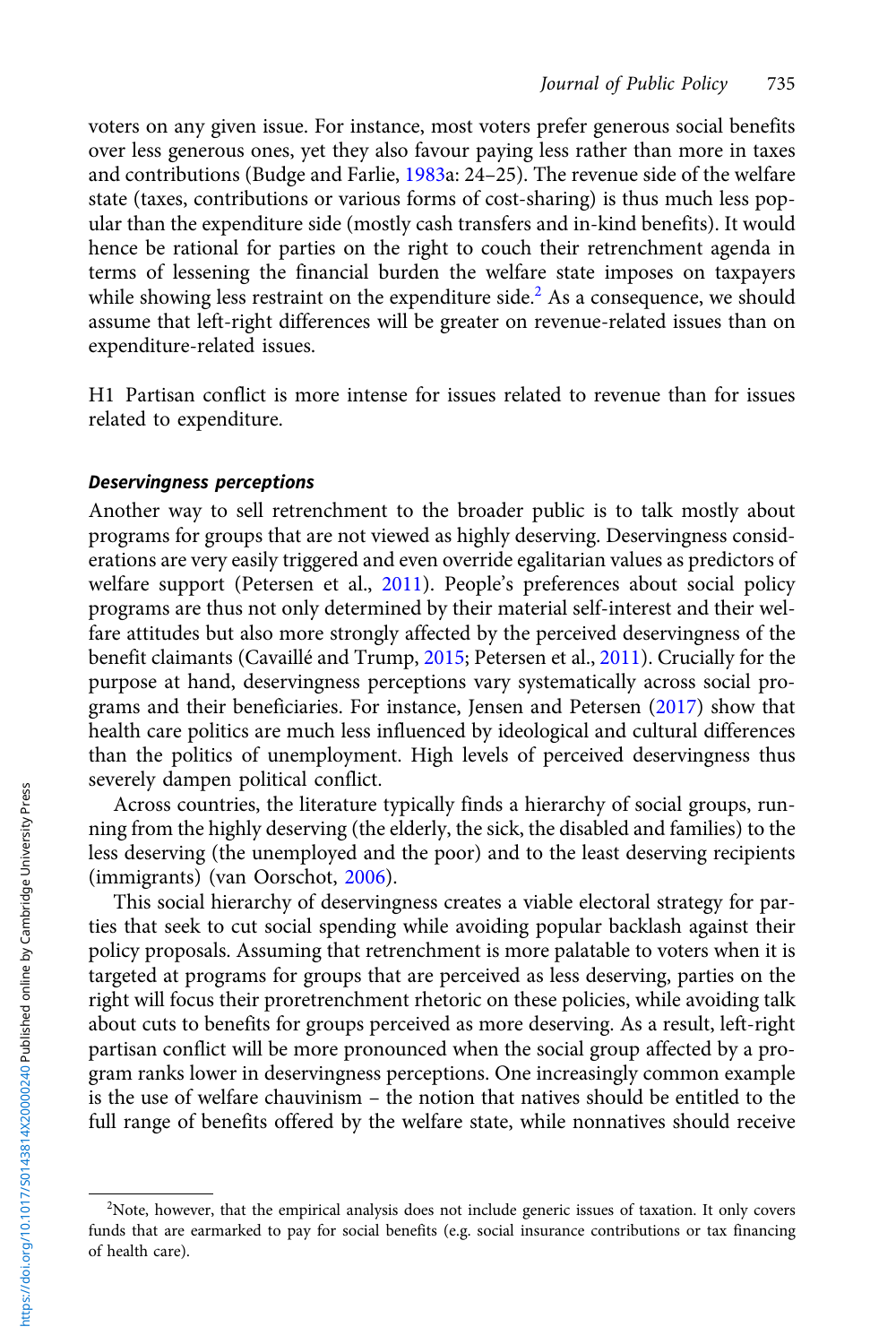voters on any given issue. For instance, most voters prefer generous social benefits over less generous ones, yet they also favour paying less rather than more in taxes and contributions (Budge and Farlie, [1983](#page-18-0)a: 24–25). The revenue side of the welfare state (taxes, contributions or various forms of cost-sharing) is thus much less popular than the expenditure side (mostly cash transfers and in-kind benefits). It would hence be rational for parties on the right to couch their retrenchment agenda in terms of lessening the financial burden the welfare state imposes on taxpayers while showing less restraint on the expenditure side.<sup>2</sup> As a consequence, we should assume that left-right differences will be greater on revenue-related issues than on expenditure-related issues.

H1 Partisan conflict is more intense for issues related to revenue than for issues related to expenditure.

## Deservingness perceptions

Another way to sell retrenchment to the broader public is to talk mostly about programs for groups that are not viewed as highly deserving. Deservingness considerations are very easily triggered and even override egalitarian values as predictors of welfare support (Petersen et al., [2011](#page-19-0)). People's preferences about social policy programs are thus not only determined by their material self-interest and their welfare attitudes but also more strongly affected by the perceived deservingness of the benefit claimants (Cavaillé and Trump, [2015](#page-18-0); Petersen et al., [2011](#page-19-0)). Crucially for the purpose at hand, deservingness perceptions vary systematically across social programs and their beneficiaries. For instance, Jensen and Petersen [\(2017\)](#page-19-0) show that health care politics are much less influenced by ideological and cultural differences than the politics of unemployment. High levels of perceived deservingness thus severely dampen political conflict.

Across countries, the literature typically finds a hierarchy of social groups, running from the highly deserving (the elderly, the sick, the disabled and families) to the less deserving (the unemployed and the poor) and to the least deserving recipients (immigrants) (van Oorschot, [2006](#page-20-0)).

This social hierarchy of deservingness creates a viable electoral strategy for parties that seek to cut social spending while avoiding popular backlash against their policy proposals. Assuming that retrenchment is more palatable to voters when it is targeted at programs for groups that are perceived as less deserving, parties on the right will focus their proretrenchment rhetoric on these policies, while avoiding talk about cuts to benefits for groups perceived as more deserving. As a result, left-right partisan conflict will be more pronounced when the social group affected by a program ranks lower in deservingness perceptions. One increasingly common example is the use of welfare chauvinism – the notion that natives should be entitled to the full range of benefits offered by the welfare state, while nonnatives should receive

<sup>2</sup> Note, however, that the empirical analysis does not include generic issues of taxation. It only covers funds that are earmarked to pay for social benefits (e.g. social insurance contributions or tax financing of health care).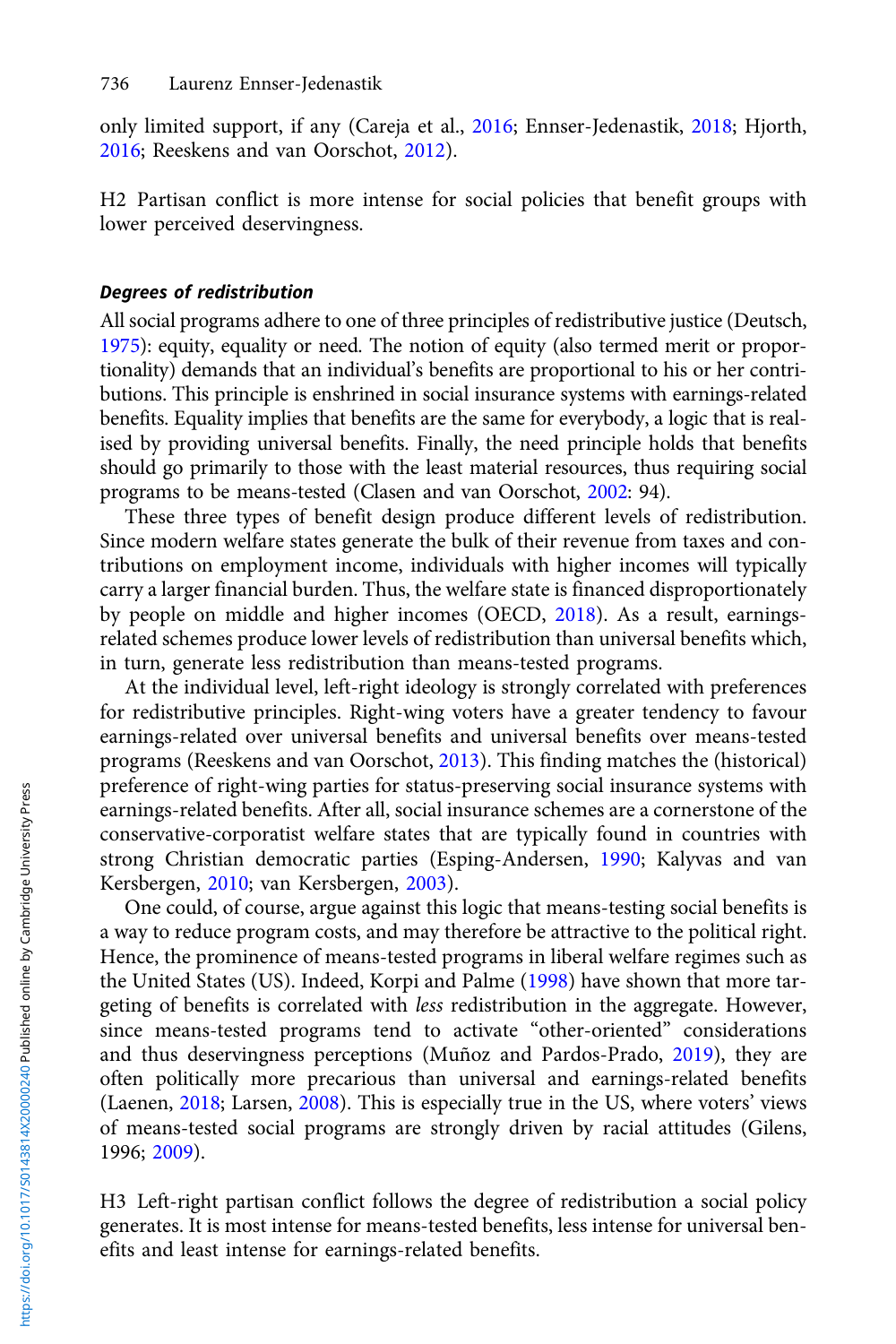only limited support, if any (Careja et al., [2016;](#page-18-0) Ennser-Jedenastik, [2018](#page-18-0); Hjorth, [2016;](#page-18-0) Reeskens and van Oorschot, [2012](#page-19-0)).

H2 Partisan conflict is more intense for social policies that benefit groups with lower perceived deservingness.

## Degrees of redistribution

All social programs adhere to one of three principles of redistributive justice (Deutsch, [1975](#page-18-0)): equity, equality or need. The notion of equity (also termed merit or proportionality) demands that an individual's benefits are proportional to his or her contributions. This principle is enshrined in social insurance systems with earnings-related benefits. Equality implies that benefits are the same for everybody, a logic that is realised by providing universal benefits. Finally, the need principle holds that benefits should go primarily to those with the least material resources, thus requiring social programs to be means-tested (Clasen and van Oorschot, [2002:](#page-18-0) 94).

These three types of benefit design produce different levels of redistribution. Since modern welfare states generate the bulk of their revenue from taxes and contributions on employment income, individuals with higher incomes will typically carry a larger financial burden. Thus, the welfare state is financed disproportionately by people on middle and higher incomes (OECD, [2018\)](#page-19-0). As a result, earningsrelated schemes produce lower levels of redistribution than universal benefits which, in turn, generate less redistribution than means-tested programs.

At the individual level, left-right ideology is strongly correlated with preferences for redistributive principles. Right-wing voters have a greater tendency to favour earnings-related over universal benefits and universal benefits over means-tested programs (Reeskens and van Oorschot, [2013\)](#page-19-0). This finding matches the (historical) preference of right-wing parties for status-preserving social insurance systems with earnings-related benefits. After all, social insurance schemes are a cornerstone of the conservative-corporatist welfare states that are typically found in countries with strong Christian democratic parties (Esping-Andersen, [1990](#page-18-0); Kalyvas and van Kersbergen, [2010;](#page-19-0) van Kersbergen, [2003\)](#page-20-0).

One could, of course, argue against this logic that means-testing social benefits is a way to reduce program costs, and may therefore be attractive to the political right. Hence, the prominence of means-tested programs in liberal welfare regimes such as the United States (US). Indeed, Korpi and Palme ([1998](#page-19-0)) have shown that more targeting of benefits is correlated with less redistribution in the aggregate. However, since means-tested programs tend to activate "other-oriented" considerations and thus deservingness perceptions (Muñoz and Pardos-Prado, [2019](#page-19-0)), they are often politically more precarious than universal and earnings-related benefits (Laenen, [2018;](#page-19-0) Larsen, [2008](#page-19-0)). This is especially true in the US, where voters' views of means-tested social programs are strongly driven by racial attitudes (Gilens, 1996; [2009\)](#page-18-0).

H3 Left-right partisan conflict follows the degree of redistribution a social policy generates. It is most intense for means-tested benefits, less intense for universal benefits and least intense for earnings-related benefits.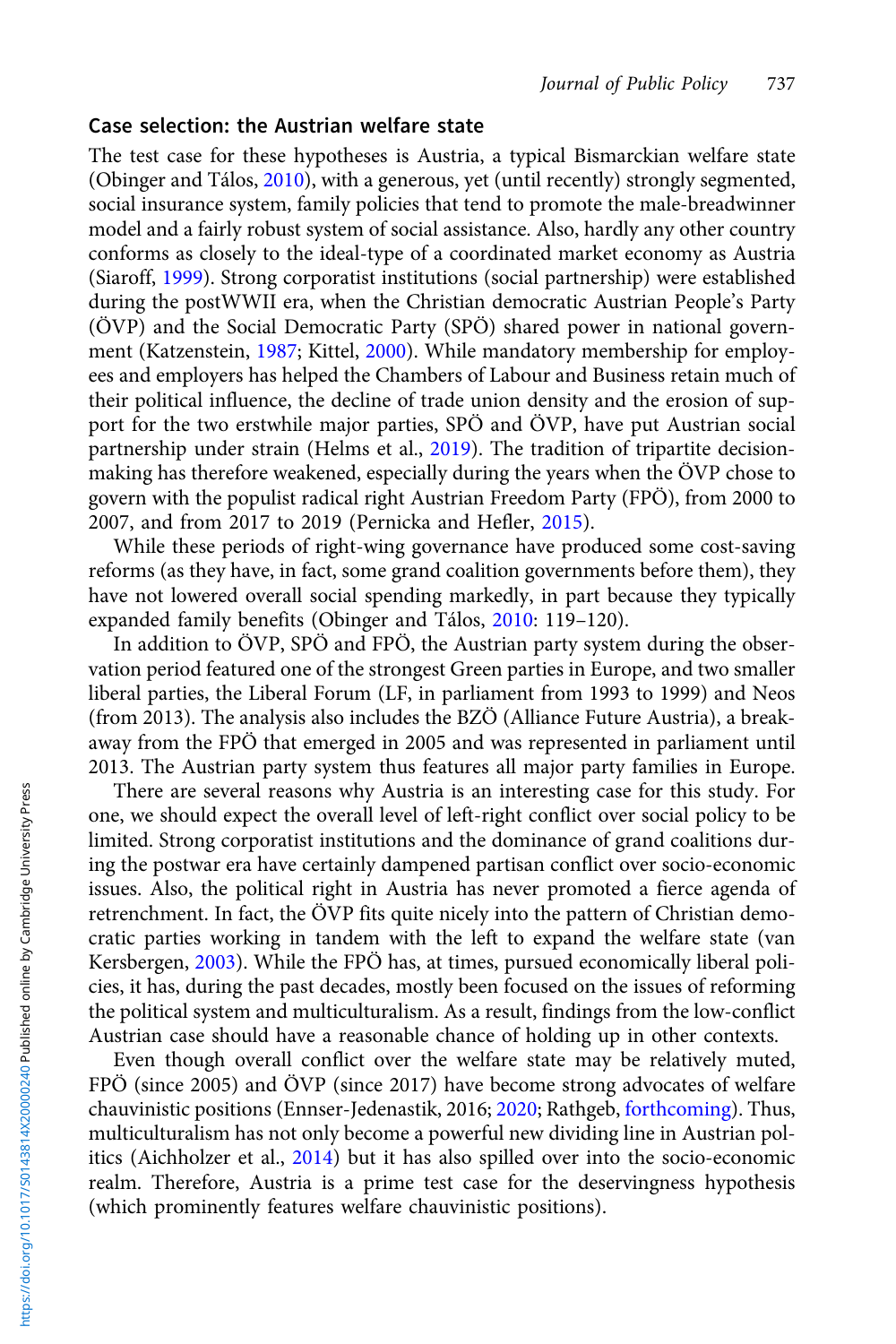## Case selection: the Austrian welfare state

The test case for these hypotheses is Austria, a typical Bismarckian welfare state (Obinger and Tálos, [2010](#page-19-0)), with a generous, yet (until recently) strongly segmented, social insurance system, family policies that tend to promote the male-breadwinner model and a fairly robust system of social assistance. Also, hardly any other country conforms as closely to the ideal-type of a coordinated market economy as Austria (Siaroff, [1999\)](#page-20-0). Strong corporatist institutions (social partnership) were established during the postWWII era, when the Christian democratic Austrian People's Party (ÖVP) and the Social Democratic Party (SPÖ) shared power in national government (Katzenstein, [1987;](#page-19-0) Kittel, [2000](#page-19-0)). While mandatory membership for employees and employers has helped the Chambers of Labour and Business retain much of their political influence, the decline of trade union density and the erosion of support for the two erstwhile major parties, SPÖ and ÖVP, have put Austrian social partnership under strain (Helms et al., [2019](#page-18-0)). The tradition of tripartite decisionmaking has therefore weakened, especially during the years when the ÖVP chose to govern with the populist radical right Austrian Freedom Party (FPÖ), from 2000 to 2007, and from 2017 to 2019 (Pernicka and Hefler, [2015](#page-19-0)).

While these periods of right-wing governance have produced some cost-saving reforms (as they have, in fact, some grand coalition governments before them), they have not lowered overall social spending markedly, in part because they typically expanded family benefits (Obinger and Tálos, [2010](#page-19-0): 119–120).

In addition to ÖVP, SPÖ and FPÖ, the Austrian party system during the observation period featured one of the strongest Green parties in Europe, and two smaller liberal parties, the Liberal Forum (LF, in parliament from 1993 to 1999) and Neos (from 2013). The analysis also includes the BZÖ (Alliance Future Austria), a breakaway from the FPÖ that emerged in 2005 and was represented in parliament until 2013. The Austrian party system thus features all major party families in Europe.

There are several reasons why Austria is an interesting case for this study. For one, we should expect the overall level of left-right conflict over social policy to be limited. Strong corporatist institutions and the dominance of grand coalitions during the postwar era have certainly dampened partisan conflict over socio-economic issues. Also, the political right in Austria has never promoted a fierce agenda of retrenchment. In fact, the ÖVP fits quite nicely into the pattern of Christian democratic parties working in tandem with the left to expand the welfare state (van Kersbergen, [2003](#page-20-0)). While the FPÖ has, at times, pursued economically liberal policies, it has, during the past decades, mostly been focused on the issues of reforming the political system and multiculturalism. As a result, findings from the low-conflict Austrian case should have a reasonable chance of holding up in other contexts.

Even though overall conflict over the welfare state may be relatively muted, FPÖ (since 2005) and ÖVP (since 2017) have become strong advocates of welfare chauvinistic positions (Ennser-Jedenastik, 2016; [2020](#page-18-0); Rathgeb, [forthcoming\)](#page-19-0). Thus, multiculturalism has not only become a powerful new dividing line in Austrian politics (Aichholzer et al., [2014](#page-17-0)) but it has also spilled over into the socio-economic realm. Therefore, Austria is a prime test case for the deservingness hypothesis (which prominently features welfare chauvinistic positions).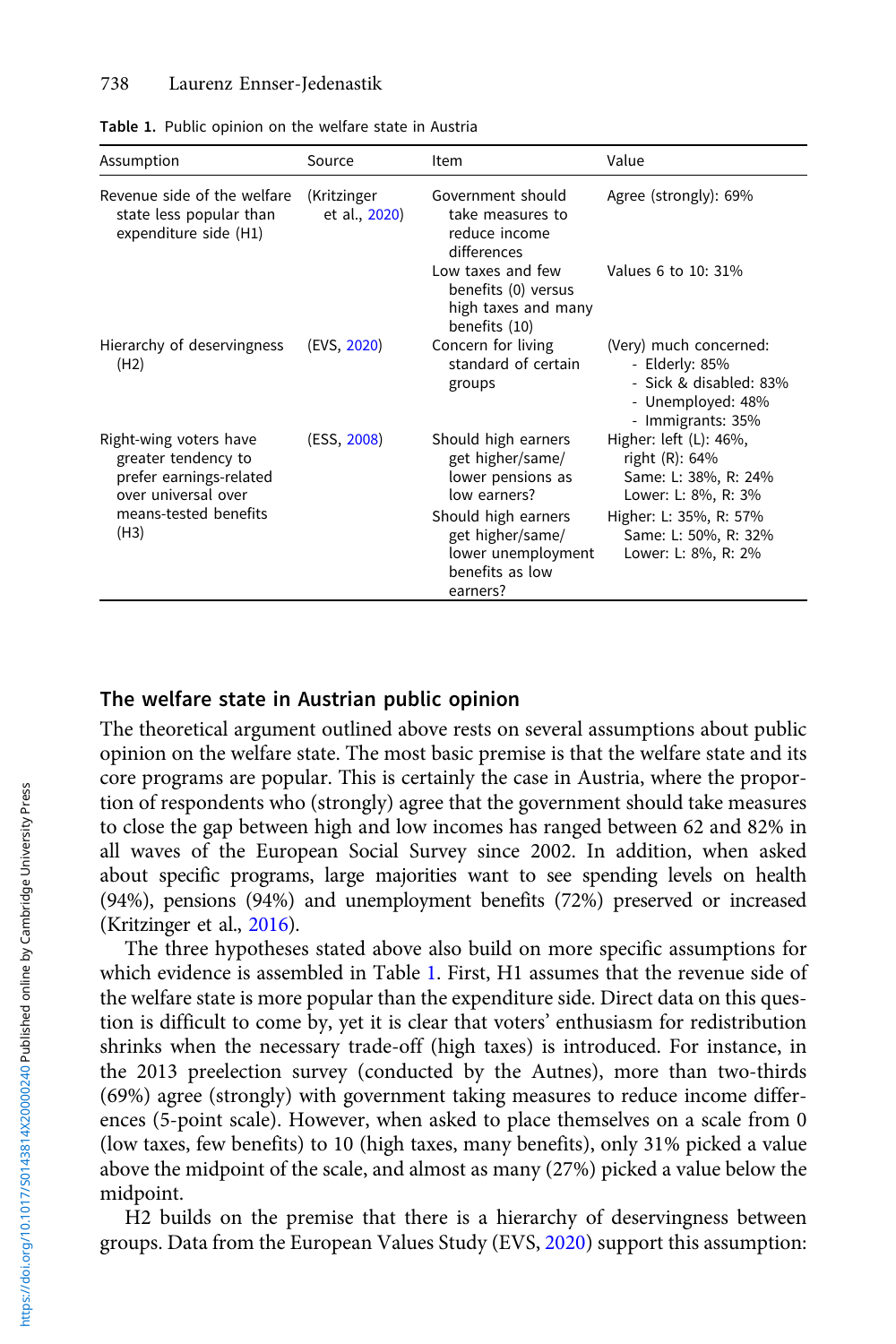#### <span id="page-7-0"></span>738 Laurenz Ennser-Jedenastik

| Assumption                                                                                      | Source                       | Item                                                                                         | Value                                                                                                        |  |
|-------------------------------------------------------------------------------------------------|------------------------------|----------------------------------------------------------------------------------------------|--------------------------------------------------------------------------------------------------------------|--|
| Revenue side of the welfare<br>state less popular than<br>expenditure side (H1)                 | (Kritzinger<br>et al., 2020) | Government should<br>take measures to<br>reduce income<br>differences                        | Agree (strongly): 69%                                                                                        |  |
|                                                                                                 |                              | Low taxes and few<br>benefits (0) versus<br>high taxes and many<br>benefits (10)             | Values 6 to 10: 31%                                                                                          |  |
| Hierarchy of deservingness<br>(H2)                                                              | (EVS, 2020)                  | Concern for living<br>standard of certain<br>groups                                          | (Very) much concerned:<br>- Elderly: 85%<br>- Sick & disabled: 83%<br>- Unemployed: 48%<br>- Immigrants: 35% |  |
| Right-wing voters have<br>greater tendency to<br>prefer earnings-related<br>over universal over | (ESS, 2008)                  | Should high earners<br>get higher/same/<br>lower pensions as<br>low earners?                 | Higher: left (L): 46%,<br>right $(R)$ : 64%<br>Same: L: 38%, R: 24%<br>Lower: L: 8%, R: 3%                   |  |
| means-tested benefits<br>(H3)                                                                   |                              | Should high earners<br>get higher/same/<br>lower unemployment<br>benefits as low<br>earners? | Higher: L: 35%, R: 57%<br>Same: L: 50%, R: 32%<br>Lower: L: 8%, R: 2%                                        |  |

|  |  |  | <b>Table 1.</b> Public opinion on the welfare state in Austria |  |  |  |  |  |  |
|--|--|--|----------------------------------------------------------------|--|--|--|--|--|--|
|--|--|--|----------------------------------------------------------------|--|--|--|--|--|--|

## The welfare state in Austrian public opinion

The theoretical argument outlined above rests on several assumptions about public opinion on the welfare state. The most basic premise is that the welfare state and its core programs are popular. This is certainly the case in Austria, where the proportion of respondents who (strongly) agree that the government should take measures to close the gap between high and low incomes has ranged between 62 and 82% in all waves of the European Social Survey since 2002. In addition, when asked about specific programs, large majorities want to see spending levels on health (94%), pensions (94%) and unemployment benefits (72%) preserved or increased (Kritzinger et al., [2016\)](#page-19-0).

The three hypotheses stated above also build on more specific assumptions for which evidence is assembled in Table 1. First, H1 assumes that the revenue side of the welfare state is more popular than the expenditure side. Direct data on this question is difficult to come by, yet it is clear that voters' enthusiasm for redistribution shrinks when the necessary trade-off (high taxes) is introduced. For instance, in the 2013 preelection survey (conducted by the Autnes), more than two-thirds (69%) agree (strongly) with government taking measures to reduce income differences (5-point scale). However, when asked to place themselves on a scale from 0 (low taxes, few benefits) to 10 (high taxes, many benefits), only 31% picked a value above the midpoint of the scale, and almost as many (27%) picked a value below the midpoint.

H2 builds on the premise that there is a hierarchy of deservingness between groups. Data from the European Values Study (EVS, [2020\)](#page-18-0) support this assumption: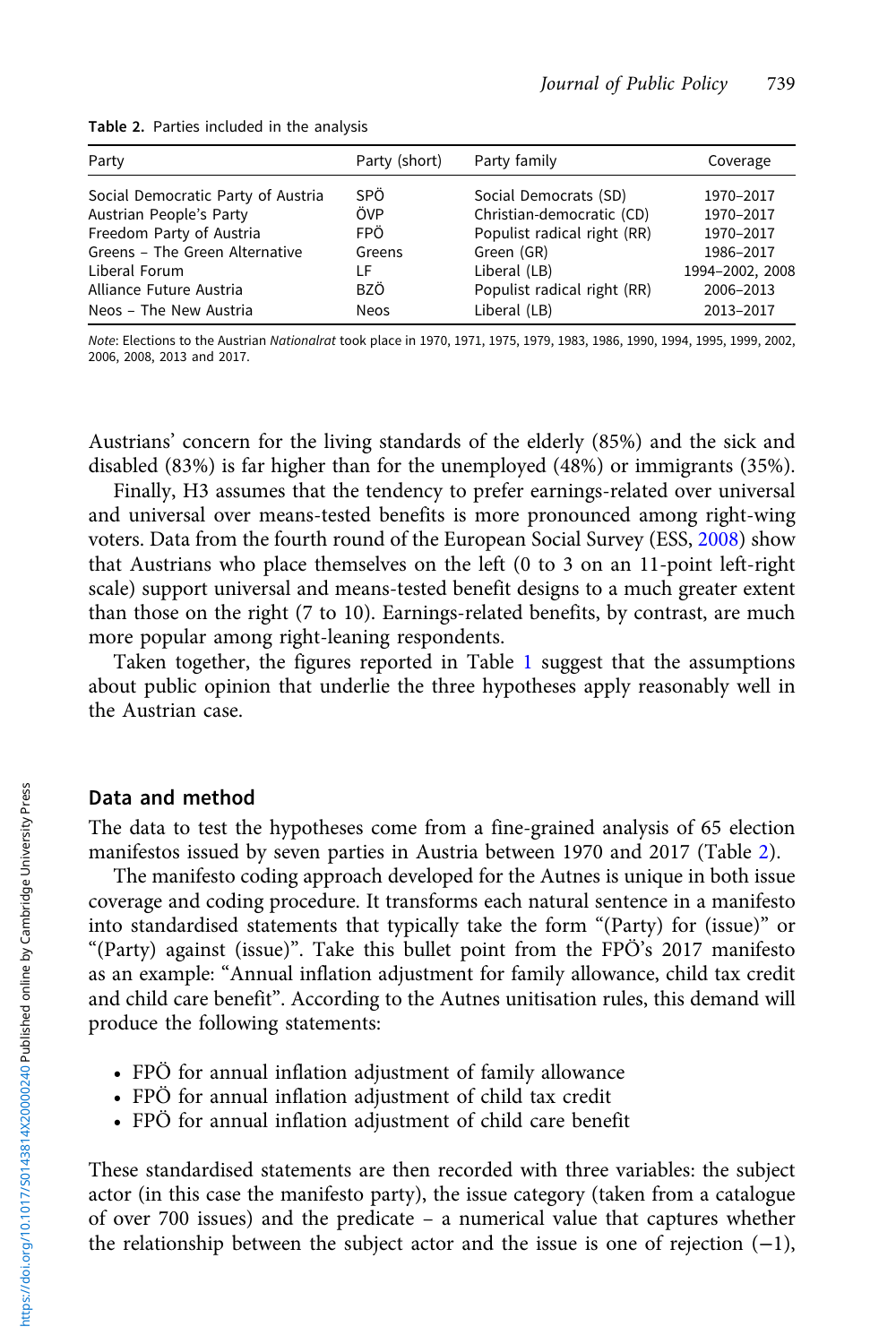| Party                              | Party (short) | Party family                | Coverage        |
|------------------------------------|---------------|-----------------------------|-----------------|
| Social Democratic Party of Austria | SPÖ           | Social Democrats (SD)       | 1970-2017       |
| Austrian People's Party            | ÖVP           | Christian-democratic (CD)   | 1970-2017       |
| Freedom Party of Austria           | <b>FPÖ</b>    | Populist radical right (RR) | 1970-2017       |
| Greens - The Green Alternative     | Greens        | Green (GR)                  | 1986-2017       |
| Liberal Forum                      | LF            | Liberal (LB)                | 1994-2002, 2008 |
| Alliance Future Austria            | BZÖ           | Populist radical right (RR) | 2006-2013       |
| Neos - The New Austria             | <b>Neos</b>   | Liberal (LB)                | 2013-2017       |

Table 2. Parties included in the analysis

Note: Elections to the Austrian Nationalrat took place in 1970, 1971, 1975, 1979, 1983, 1986, 1990, 1994, 1995, 1999, 2002, 2006, 2008, 2013 and 2017.

Austrians' concern for the living standards of the elderly (85%) and the sick and disabled (83%) is far higher than for the unemployed (48%) or immigrants (35%).

Finally, H3 assumes that the tendency to prefer earnings-related over universal and universal over means-tested benefits is more pronounced among right-wing voters. Data from the fourth round of the European Social Survey (ESS, [2008](#page-18-0)) show that Austrians who place themselves on the left (0 to 3 on an 11-point left-right scale) support universal and means-tested benefit designs to a much greater extent than those on the right (7 to 10). Earnings-related benefits, by contrast, are much more popular among right-leaning respondents.

Taken together, the figures reported in Table [1](#page-7-0) suggest that the assumptions about public opinion that underlie the three hypotheses apply reasonably well in the Austrian case.

#### Data and method

The data to test the hypotheses come from a fine-grained analysis of 65 election manifestos issued by seven parties in Austria between 1970 and 2017 (Table 2).

The manifesto coding approach developed for the Autnes is unique in both issue coverage and coding procedure. It transforms each natural sentence in a manifesto into standardised statements that typically take the form "(Party) for (issue)" or "(Party) against (issue)". Take this bullet point from the FPÖ's 2017 manifesto as an example: "Annual inflation adjustment for family allowance, child tax credit and child care benefit". According to the Autnes unitisation rules, this demand will produce the following statements:

- FPÖ for annual inflation adjustment of family allowance
- FPÖ for annual inflation adjustment of child tax credit
- FPÖ for annual inflation adjustment of child care benefit

These standardised statements are then recorded with three variables: the subject actor (in this case the manifesto party), the issue category (taken from a catalogue of over 700 issues) and the predicate – a numerical value that captures whether the relationship between the subject actor and the issue is one of rejection  $(-1)$ ,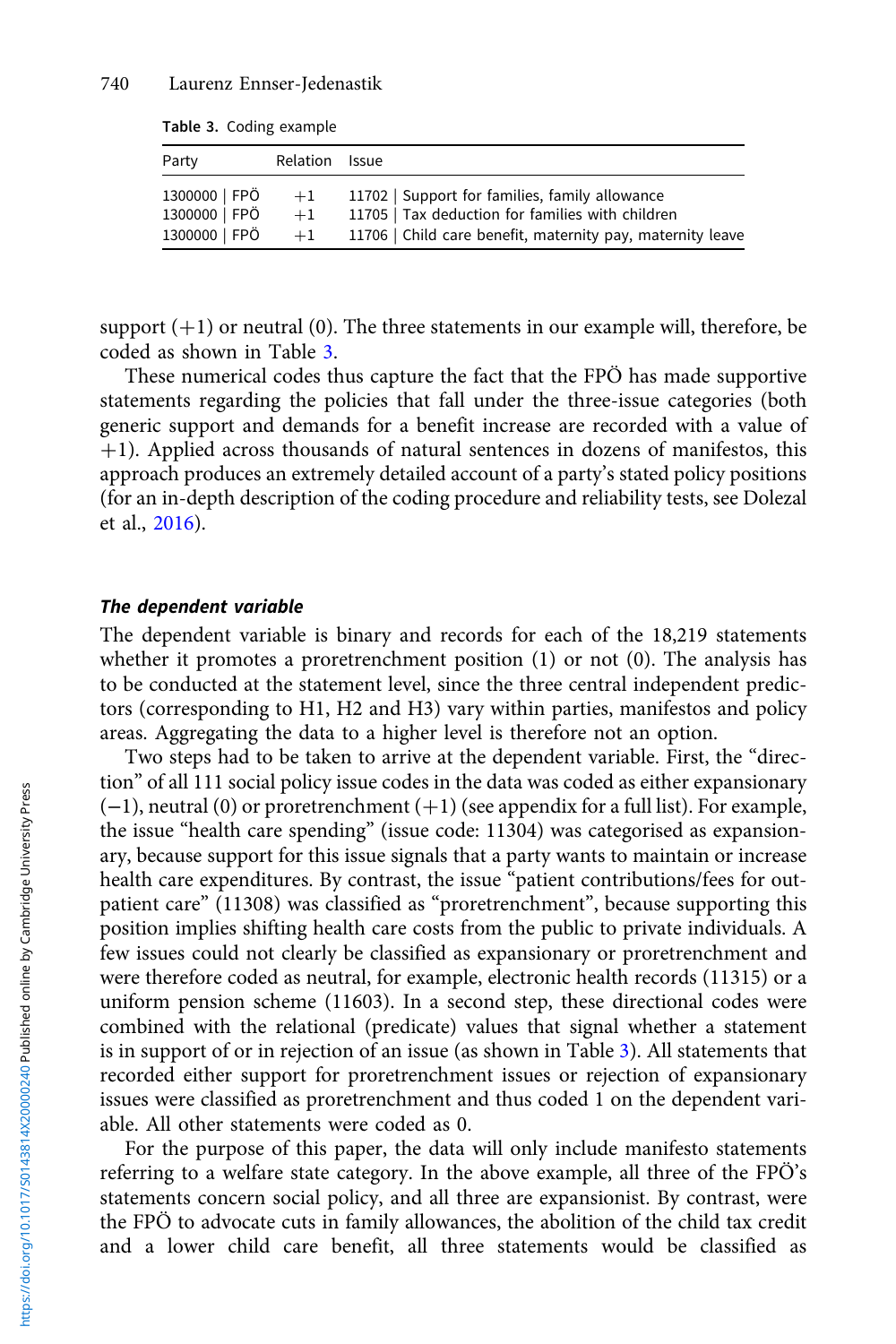| Party         | Relation | Issue                                                      |
|---------------|----------|------------------------------------------------------------|
| 1300000   FPÖ | $+1$     | 11702   Support for families, family allowance             |
| 1300000   FPÖ | $+1$     | 11705   Tax deduction for families with children           |
| 1300000   FPÖ | $+1$     | 11706   Child care benefit, maternity pay, maternity leave |

Table 3. Coding example

support  $(+1)$  or neutral (0). The three statements in our example will, therefore, be coded as shown in Table 3.

These numerical codes thus capture the fact that the FPÖ has made supportive statements regarding the policies that fall under the three-issue categories (both generic support and demands for a benefit increase are recorded with a value of 1). Applied across thousands of natural sentences in dozens of manifestos, this approach produces an extremely detailed account of a party's stated policy positions (for an in-depth description of the coding procedure and reliability tests, see Dolezal et al., [2016](#page-18-0)).

#### The dependent variable

The dependent variable is binary and records for each of the 18,219 statements whether it promotes a proretrenchment position (1) or not (0). The analysis has to be conducted at the statement level, since the three central independent predictors (corresponding to H1, H2 and H3) vary within parties, manifestos and policy areas. Aggregating the data to a higher level is therefore not an option.

Two steps had to be taken to arrive at the dependent variable. First, the "direction" of all 111 social policy issue codes in the data was coded as either expansionary  $(-1)$ , neutral (0) or proretrenchment  $(+1)$  (see appendix for a full list). For example, the issue "health care spending" (issue code: 11304) was categorised as expansionary, because support for this issue signals that a party wants to maintain or increase health care expenditures. By contrast, the issue "patient contributions/fees for outpatient care" (11308) was classified as "proretrenchment", because supporting this position implies shifting health care costs from the public to private individuals. A few issues could not clearly be classified as expansionary or proretrenchment and were therefore coded as neutral, for example, electronic health records (11315) or a uniform pension scheme (11603). In a second step, these directional codes were combined with the relational (predicate) values that signal whether a statement is in support of or in rejection of an issue (as shown in Table 3). All statements that recorded either support for proretrenchment issues or rejection of expansionary issues were classified as proretrenchment and thus coded 1 on the dependent variable. All other statements were coded as 0.

For the purpose of this paper, the data will only include manifesto statements referring to a welfare state category. In the above example, all three of the FPÖ's statements concern social policy, and all three are expansionist. By contrast, were the FPÖ to advocate cuts in family allowances, the abolition of the child tax credit and a lower child care benefit, all three statements would be classified as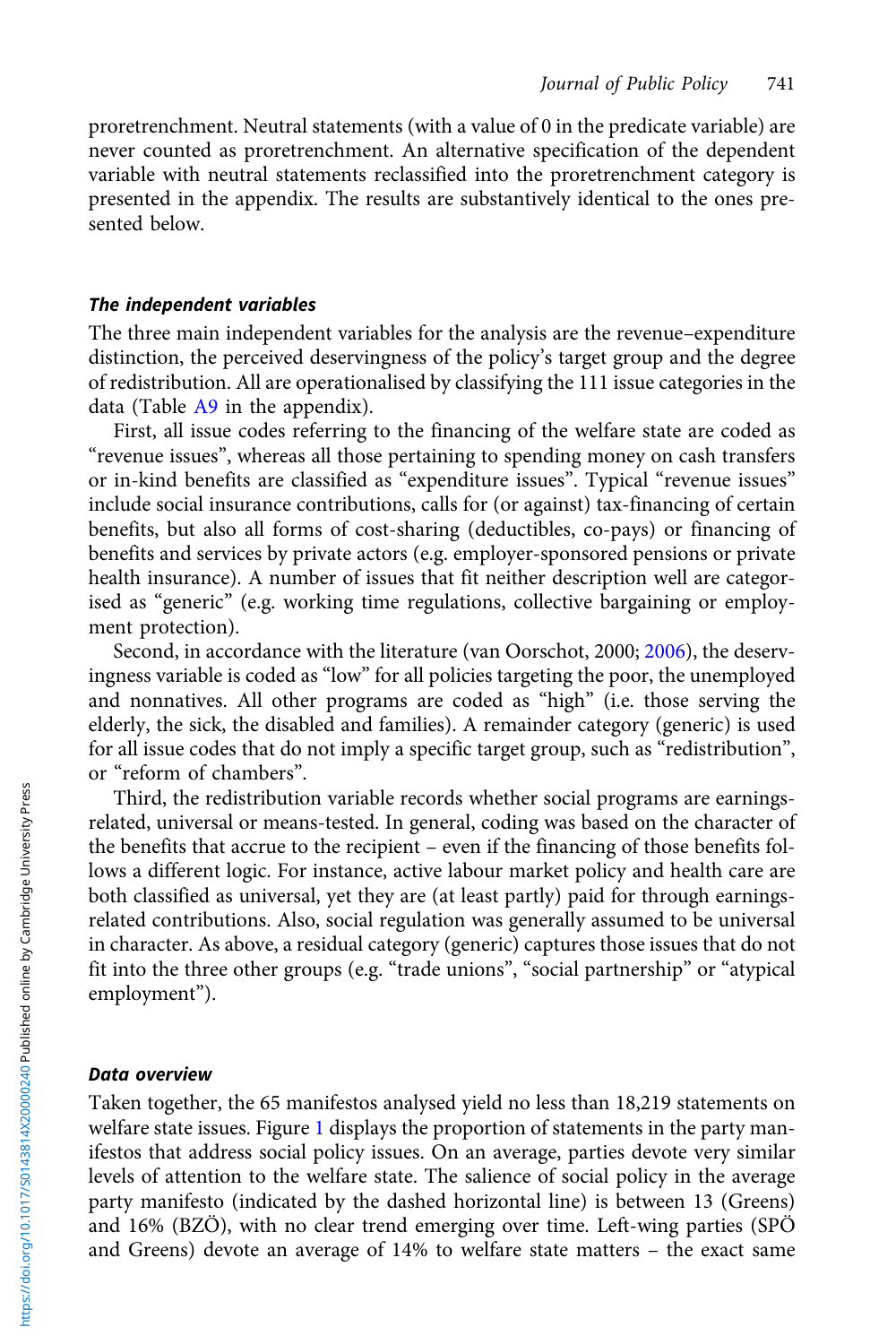proretrenchment. Neutral statements (with a value of 0 in the predicate variable) are never counted as proretrenchment. An alternative specification of the dependent variable with neutral statements reclassified into the proretrenchment category is presented in the appendix. The results are substantively identical to the ones presented below.

#### The independent variables

The three main independent variables for the analysis are the revenue–expenditure distinction, the perceived deservingness of the policy's target group and the degree of redistribution. All are operationalised by classifying the 111 issue categories in the data (Table [A9](https://doi.org/10.1017/S0143814X20000240) in the appendix).

First, all issue codes referring to the financing of the welfare state are coded as "revenue issues", whereas all those pertaining to spending money on cash transfers or in-kind benefits are classified as "expenditure issues". Typical "revenue issues" include social insurance contributions, calls for (or against) tax-financing of certain benefits, but also all forms of cost-sharing (deductibles, co-pays) or financing of benefits and services by private actors (e.g. employer-sponsored pensions or private health insurance). A number of issues that fit neither description well are categorised as "generic" (e.g. working time regulations, collective bargaining or employment protection).

Second, in accordance with the literature (van Oorschot, 2000; [2006\)](#page-20-0), the deservingness variable is coded as "low" for all policies targeting the poor, the unemployed and nonnatives. All other programs are coded as "high" (i.e. those serving the elderly, the sick, the disabled and families). A remainder category (generic) is used for all issue codes that do not imply a specific target group, such as "redistribution", or "reform of chambers".

Third, the redistribution variable records whether social programs are earningsrelated, universal or means-tested. In general, coding was based on the character of the benefits that accrue to the recipient – even if the financing of those benefits follows a different logic. For instance, active labour market policy and health care are both classified as universal, yet they are (at least partly) paid for through earningsrelated contributions. Also, social regulation was generally assumed to be universal in character. As above, a residual category (generic) captures those issues that do not fit into the three other groups (e.g. "trade unions", "social partnership" or "atypical employment").

#### Data overview

Taken together, the 65 manifestos analysed yield no less than 18,219 statements on welfare state issues. Figure [1](#page-11-0) displays the proportion of statements in the party manifestos that address social policy issues. On an average, parties devote very similar levels of attention to the welfare state. The salience of social policy in the average party manifesto (indicated by the dashed horizontal line) is between 13 (Greens) and 16% (BZÖ), with no clear trend emerging over time. Left-wing parties (SPÖ and Greens) devote an average of 14% to welfare state matters – the exact same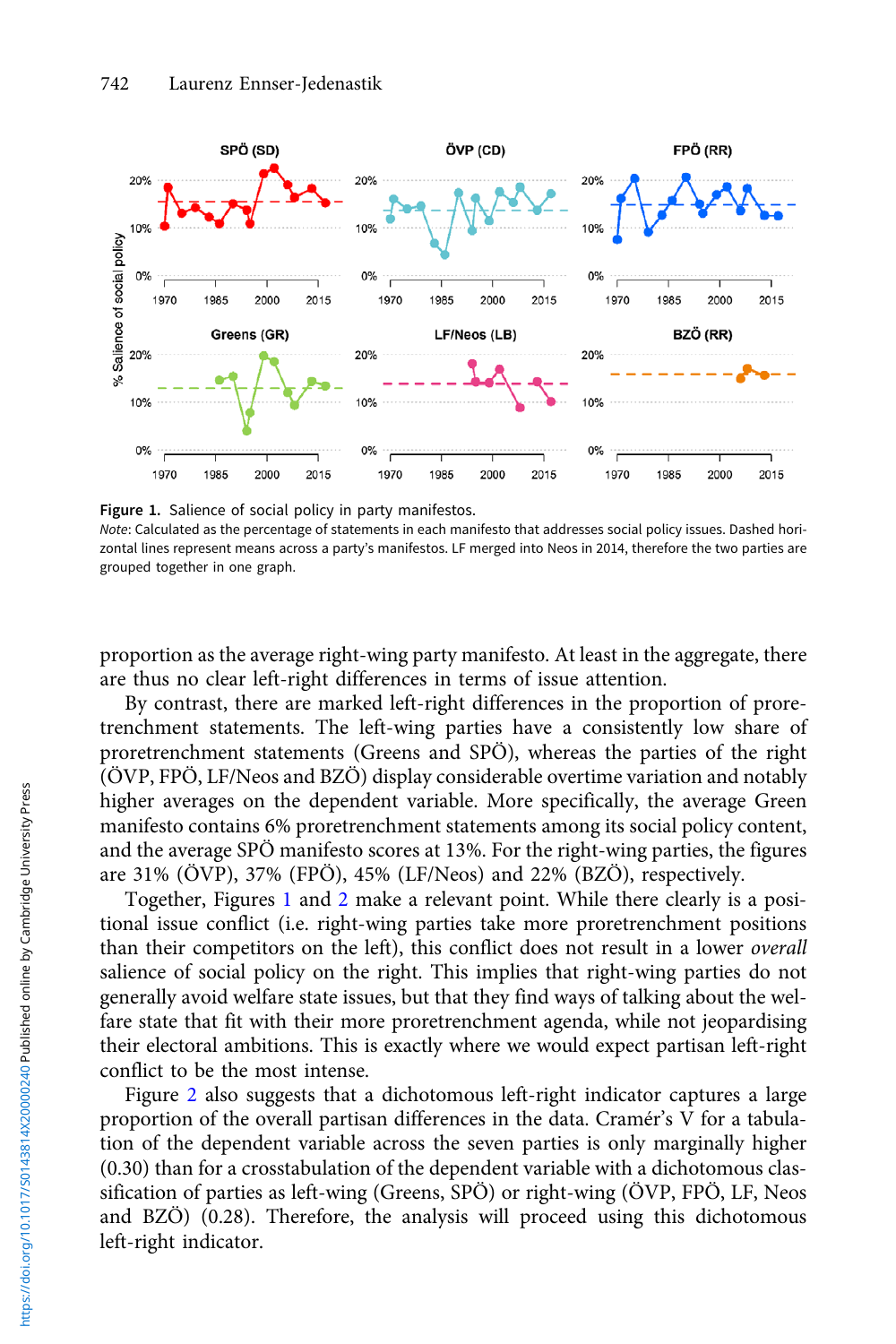<span id="page-11-0"></span>

Figure 1. Salience of social policy in party manifestos.

Note: Calculated as the percentage of statements in each manifesto that addresses social policy issues. Dashed horizontal lines represent means across a party's manifestos. LF merged into Neos in 2014, therefore the two parties are grouped together in one graph.

proportion as the average right-wing party manifesto. At least in the aggregate, there are thus no clear left-right differences in terms of issue attention.

By contrast, there are marked left-right differences in the proportion of proretrenchment statements. The left-wing parties have a consistently low share of proretrenchment statements (Greens and SPÖ), whereas the parties of the right (ÖVP, FPÖ, LF/Neos and BZÖ) display considerable overtime variation and notably higher averages on the dependent variable. More specifically, the average Green manifesto contains 6% proretrenchment statements among its social policy content, and the average SPÖ manifesto scores at 13%. For the right-wing parties, the figures are 31% (ÖVP), 37% (FPÖ), 45% (LF/Neos) and 22% (BZÖ), respectively.

Together, Figures 1 and [2](#page-12-0) make a relevant point. While there clearly is a positional issue conflict (i.e. right-wing parties take more proretrenchment positions than their competitors on the left), this conflict does not result in a lower overall salience of social policy on the right. This implies that right-wing parties do not generally avoid welfare state issues, but that they find ways of talking about the welfare state that fit with their more proretrenchment agenda, while not jeopardising their electoral ambitions. This is exactly where we would expect partisan left-right conflict to be the most intense.

Figure [2](#page-12-0) also suggests that a dichotomous left-right indicator captures a large proportion of the overall partisan differences in the data. Cramér's V for a tabulation of the dependent variable across the seven parties is only marginally higher (0.30) than for a crosstabulation of the dependent variable with a dichotomous classification of parties as left-wing (Greens, SPÖ) or right-wing (ÖVP, FPÖ, LF, Neos and BZÖ) (0.28). Therefore, the analysis will proceed using this dichotomous left-right indicator.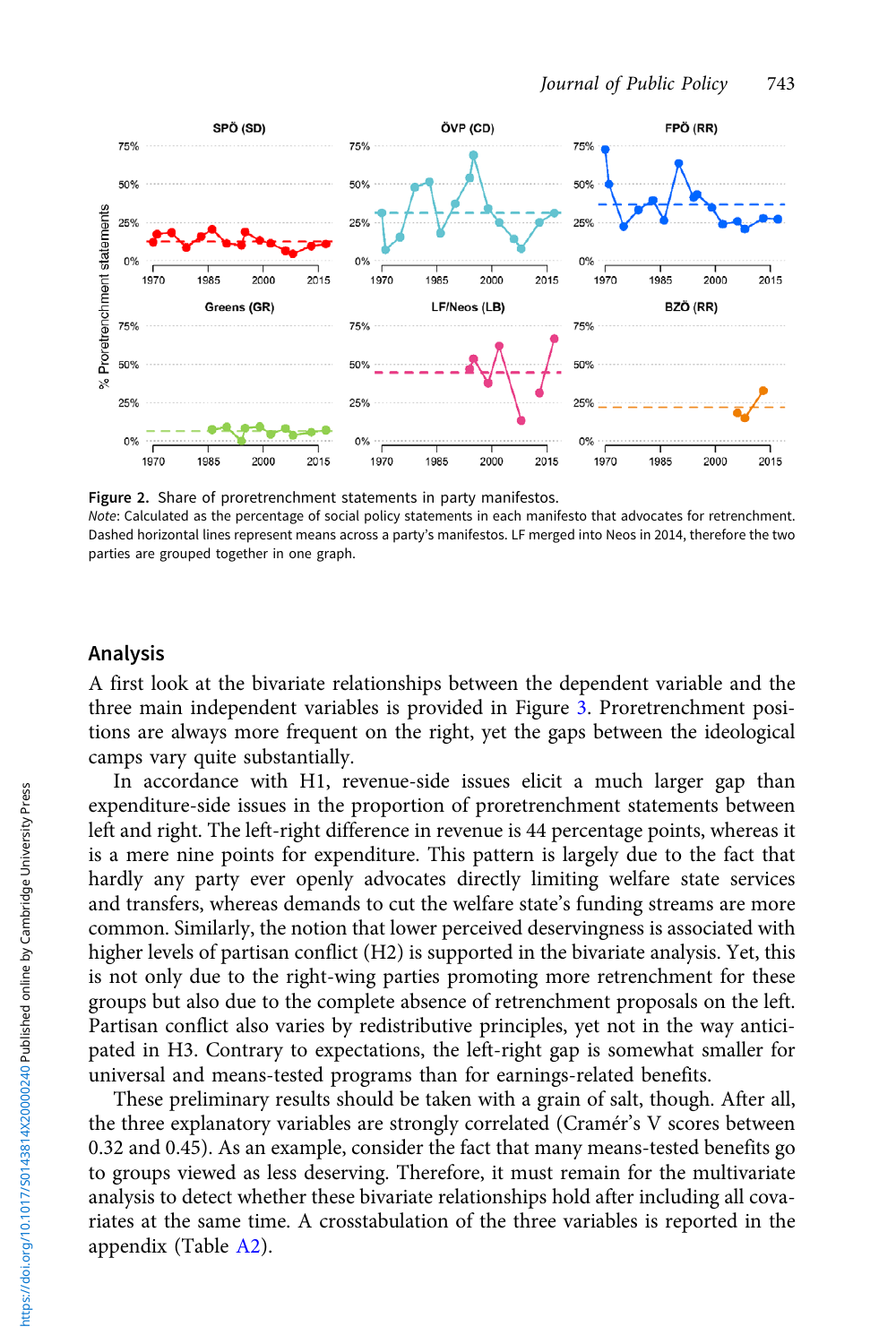<span id="page-12-0"></span>

Figure 2. Share of proretrenchment statements in party manifestos. Note: Calculated as the percentage of social policy statements in each manifesto that advocates for retrenchment. Dashed horizontal lines represent means across a party's manifestos. LF merged into Neos in 2014, therefore the two parties are grouped together in one graph.

# Analysis

A first look at the bivariate relationships between the dependent variable and the three main independent variables is provided in Figure [3](#page-13-0). Proretrenchment positions are always more frequent on the right, yet the gaps between the ideological camps vary quite substantially.

In accordance with H1, revenue-side issues elicit a much larger gap than expenditure-side issues in the proportion of proretrenchment statements between left and right. The left-right difference in revenue is 44 percentage points, whereas it is a mere nine points for expenditure. This pattern is largely due to the fact that hardly any party ever openly advocates directly limiting welfare state services and transfers, whereas demands to cut the welfare state's funding streams are more common. Similarly, the notion that lower perceived deservingness is associated with higher levels of partisan conflict (H2) is supported in the bivariate analysis. Yet, this is not only due to the right-wing parties promoting more retrenchment for these groups but also due to the complete absence of retrenchment proposals on the left. Partisan conflict also varies by redistributive principles, yet not in the way anticipated in H3. Contrary to expectations, the left-right gap is somewhat smaller for universal and means-tested programs than for earnings-related benefits.

These preliminary results should be taken with a grain of salt, though. After all, the three explanatory variables are strongly correlated (Cramér's V scores between 0.32 and 0.45). As an example, consider the fact that many means-tested benefits go to groups viewed as less deserving. Therefore, it must remain for the multivariate analysis to detect whether these bivariate relationships hold after including all covariates at the same time. A crosstabulation of the three variables is reported in the appendix (Table [A2](https://doi.org/10.1017/S0143814X20000240)).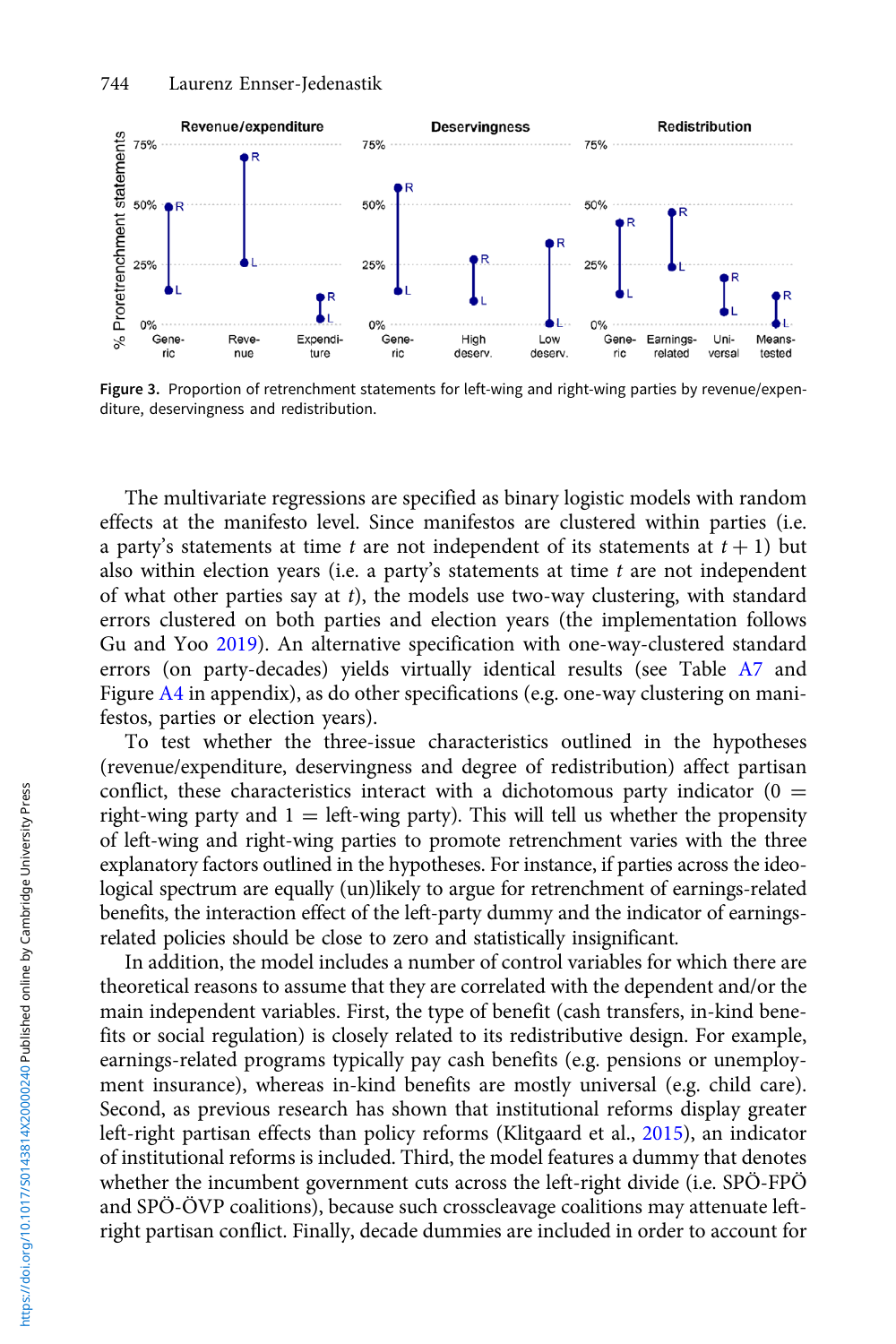<span id="page-13-0"></span>

Figure 3. Proportion of retrenchment statements for left-wing and right-wing parties by revenue/expenditure, deservingness and redistribution.

The multivariate regressions are specified as binary logistic models with random effects at the manifesto level. Since manifestos are clustered within parties (i.e. a party's statements at time t are not independent of its statements at  $t + 1$ ) but also within election years (i.e. a party's statements at time  $t$  are not independent of what other parties say at  $t$ ), the models use two-way clustering, with standard errors clustered on both parties and election years (the implementation follows Gu and Yoo [2019\)](#page-18-0). An alternative specification with one-way-clustered standard errors (on party-decades) yields virtually identical results (see Table [A7](https://doi.org/10.1017/S0143814X20000240) and Figure [A4](https://doi.org/10.1017/S0143814X20000240) in appendix), as do other specifications (e.g. one-way clustering on manifestos, parties or election years).

To test whether the three-issue characteristics outlined in the hypotheses (revenue/expenditure, deservingness and degree of redistribution) affect partisan conflict, these characteristics interact with a dichotomous party indicator  $(0 =$ right-wing party and  $1 = \text{left}$ -wing party). This will tell us whether the propensity of left-wing and right-wing parties to promote retrenchment varies with the three explanatory factors outlined in the hypotheses. For instance, if parties across the ideological spectrum are equally (un)likely to argue for retrenchment of earnings-related benefits, the interaction effect of the left-party dummy and the indicator of earningsrelated policies should be close to zero and statistically insignificant.

In addition, the model includes a number of control variables for which there are theoretical reasons to assume that they are correlated with the dependent and/or the main independent variables. First, the type of benefit (cash transfers, in-kind benefits or social regulation) is closely related to its redistributive design. For example, earnings-related programs typically pay cash benefits (e.g. pensions or unemployment insurance), whereas in-kind benefits are mostly universal (e.g. child care). Second, as previous research has shown that institutional reforms display greater left-right partisan effects than policy reforms (Klitgaard et al., [2015](#page-19-0)), an indicator of institutional reforms is included. Third, the model features a dummy that denotes whether the incumbent government cuts across the left-right divide (i.e. SPÖ-FPÖ and SPÖ-ÖVP coalitions), because such crosscleavage coalitions may attenuate leftright partisan conflict. Finally, decade dummies are included in order to account for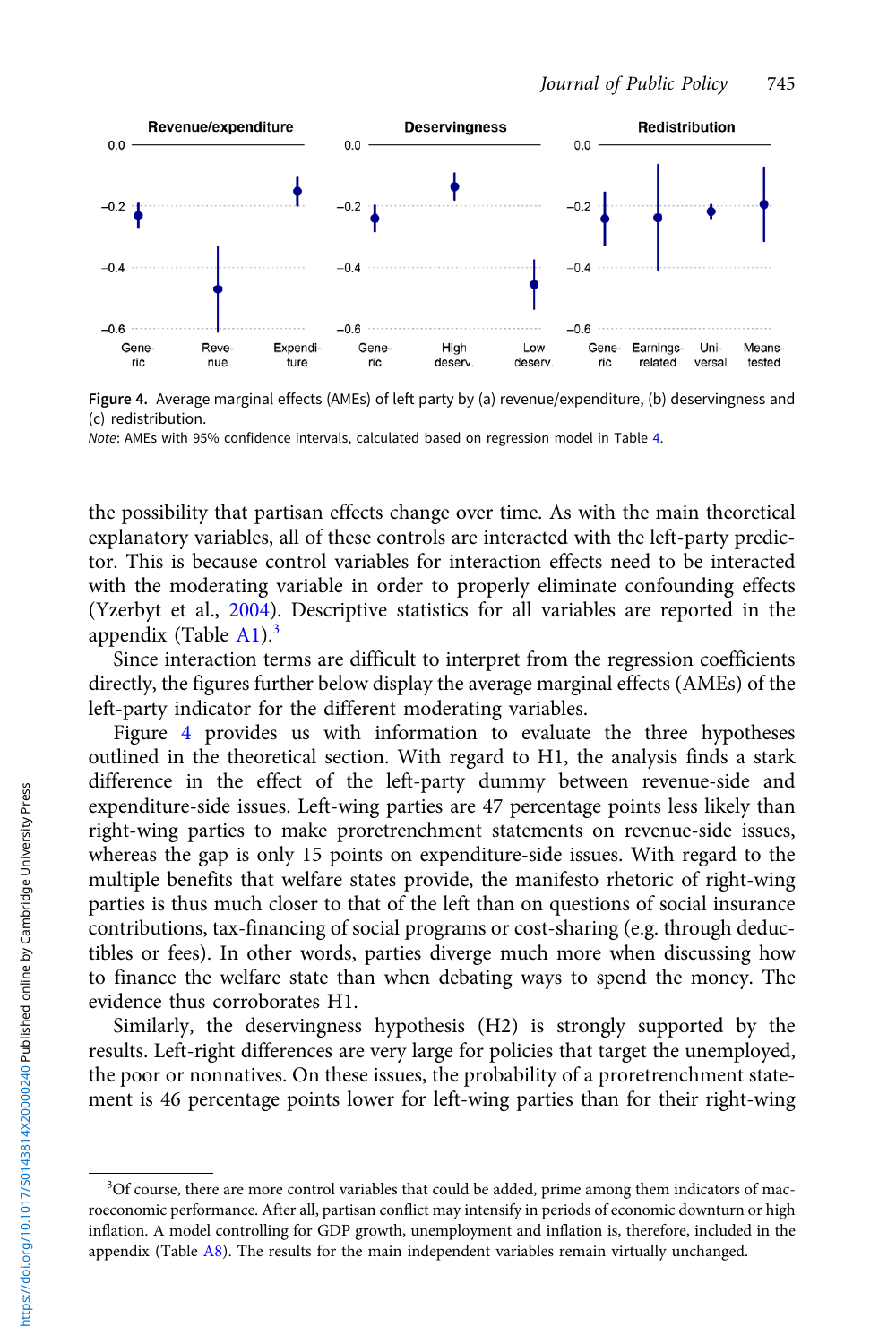

Figure 4. Average marginal effects (AMEs) of left party by (a) revenue/expenditure, (b) deservingness and (c) redistribution.

Note: AMEs with 95% confidence intervals, calculated based on regression model in Table [4](#page-15-0).

the possibility that partisan effects change over time. As with the main theoretical explanatory variables, all of these controls are interacted with the left-party predictor. This is because control variables for interaction effects need to be interacted with the moderating variable in order to properly eliminate confounding effects (Yzerbyt et al., [2004\)](#page-20-0). Descriptive statistics for all variables are reported in the appendix (Table  $A1$ ).<sup>3</sup>

Since interaction terms are difficult to interpret from the regression coefficients directly, the figures further below display the average marginal effects (AMEs) of the left-party indicator for the different moderating variables.

Figure 4 provides us with information to evaluate the three hypotheses outlined in the theoretical section. With regard to H1, the analysis finds a stark difference in the effect of the left-party dummy between revenue-side and expenditure-side issues. Left-wing parties are 47 percentage points less likely than right-wing parties to make proretrenchment statements on revenue-side issues, whereas the gap is only 15 points on expenditure-side issues. With regard to the multiple benefits that welfare states provide, the manifesto rhetoric of right-wing parties is thus much closer to that of the left than on questions of social insurance contributions, tax-financing of social programs or cost-sharing (e.g. through deductibles or fees). In other words, parties diverge much more when discussing how to finance the welfare state than when debating ways to spend the money. The evidence thus corroborates H1.

Similarly, the deservingness hypothesis (H2) is strongly supported by the results. Left-right differences are very large for policies that target the unemployed, the poor or nonnatives. On these issues, the probability of a proretrenchment statement is 46 percentage points lower for left-wing parties than for their right-wing

<sup>&</sup>lt;sup>3</sup>Of course, there are more control variables that could be added, prime among them indicators of macroeconomic performance. After all, partisan conflict may intensify in periods of economic downturn or high inflation. A model controlling for GDP growth, unemployment and inflation is, therefore, included in the appendix (Table [A8\)](https://doi.org/10.1017/S0143814X20000240). The results for the main independent variables remain virtually unchanged.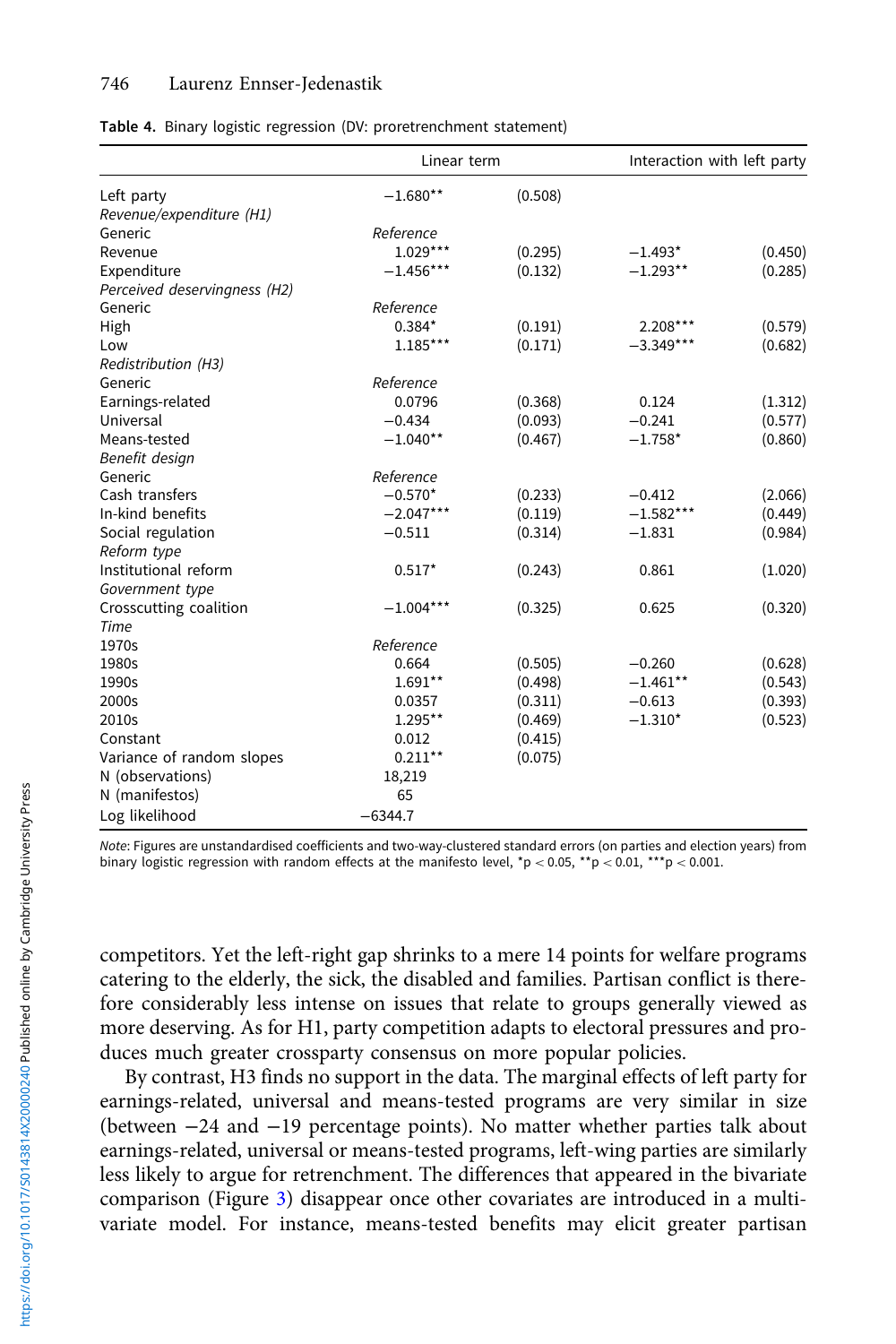#### <span id="page-15-0"></span>746 Laurenz Ennser-Jedenastik

|  |  |  |  |  | Table 4. Binary logistic regression (DV: proretrenchment statement) |  |
|--|--|--|--|--|---------------------------------------------------------------------|--|
|--|--|--|--|--|---------------------------------------------------------------------|--|

|                              | Linear term | Interaction with left party |             |         |
|------------------------------|-------------|-----------------------------|-------------|---------|
| Left party                   | $-1.680**$  | (0.508)                     |             |         |
| Revenue/expenditure (H1)     |             |                             |             |         |
| Generic                      | Reference   |                             |             |         |
| Revenue                      | $1.029***$  | (0.295)                     | $-1.493*$   | (0.450) |
| Expenditure                  | $-1.456***$ | (0.132)                     | $-1.293**$  | (0.285) |
| Perceived deservingness (H2) |             |                             |             |         |
| Generic                      | Reference   |                             |             |         |
| High                         | $0.384*$    | (0.191)                     | 2.208***    | (0.579) |
| Low                          | $1.185***$  | (0.171)                     | $-3.349***$ | (0.682) |
| Redistribution (H3)          |             |                             |             |         |
| Generic                      | Reference   |                             |             |         |
| Earnings-related             | 0.0796      | (0.368)                     | 0.124       | (1.312) |
| Universal                    | $-0.434$    | (0.093)                     | $-0.241$    | (0.577) |
| Means-tested                 | $-1.040**$  | (0.467)                     | $-1.758*$   | (0.860) |
| Benefit design               |             |                             |             |         |
| Generic                      | Reference   |                             |             |         |
| Cash transfers               | $-0.570*$   | (0.233)                     | $-0.412$    | (2.066) |
| In-kind benefits             | $-2.047***$ | (0.119)                     | $-1.582***$ | (0.449) |
| Social regulation            | $-0.511$    | (0.314)                     | $-1.831$    | (0.984) |
| Reform type                  |             |                             |             |         |
| Institutional reform         | $0.517*$    | (0.243)                     | 0.861       | (1.020) |
| Government type              |             |                             |             |         |
| Crosscutting coalition       | $-1.004***$ | (0.325)                     | 0.625       | (0.320) |
| Time                         |             |                             |             |         |
| 1970s                        | Reference   |                             |             |         |
| 1980s                        | 0.664       | (0.505)                     | $-0.260$    | (0.628) |
| 1990s                        | $1.691**$   | (0.498)                     | $-1.461**$  | (0.543) |
| 2000s                        | 0.0357      | (0.311)                     | $-0.613$    | (0.393) |
| 2010s                        | $1.295***$  | (0.469)                     | $-1.310*$   | (0.523) |
| Constant                     | 0.012       | (0.415)                     |             |         |
| Variance of random slopes    | $0.211***$  | (0.075)                     |             |         |
| N (observations)             | 18,219      |                             |             |         |
| N (manifestos)               | 65          |                             |             |         |
| Log likelihood               | $-6344.7$   |                             |             |         |

Note: Figures are unstandardised coefficients and two-way-clustered standard errors (on parties and election years) from binary logistic regression with random effects at the manifesto level,  $\text{*p} < 0.05$ ,  $\text{*p} < 0.01$ ,  $\text{***p} < 0.001$ .

competitors. Yet the left-right gap shrinks to a mere 14 points for welfare programs catering to the elderly, the sick, the disabled and families. Partisan conflict is therefore considerably less intense on issues that relate to groups generally viewed as more deserving. As for H1, party competition adapts to electoral pressures and produces much greater crossparty consensus on more popular policies.

By contrast, H3 finds no support in the data. The marginal effects of left party for earnings-related, universal and means-tested programs are very similar in size (between −24 and −19 percentage points). No matter whether parties talk about earnings-related, universal or means-tested programs, left-wing parties are similarly less likely to argue for retrenchment. The differences that appeared in the bivariate comparison (Figure [3\)](#page-13-0) disappear once other covariates are introduced in a multivariate model. For instance, means-tested benefits may elicit greater partisan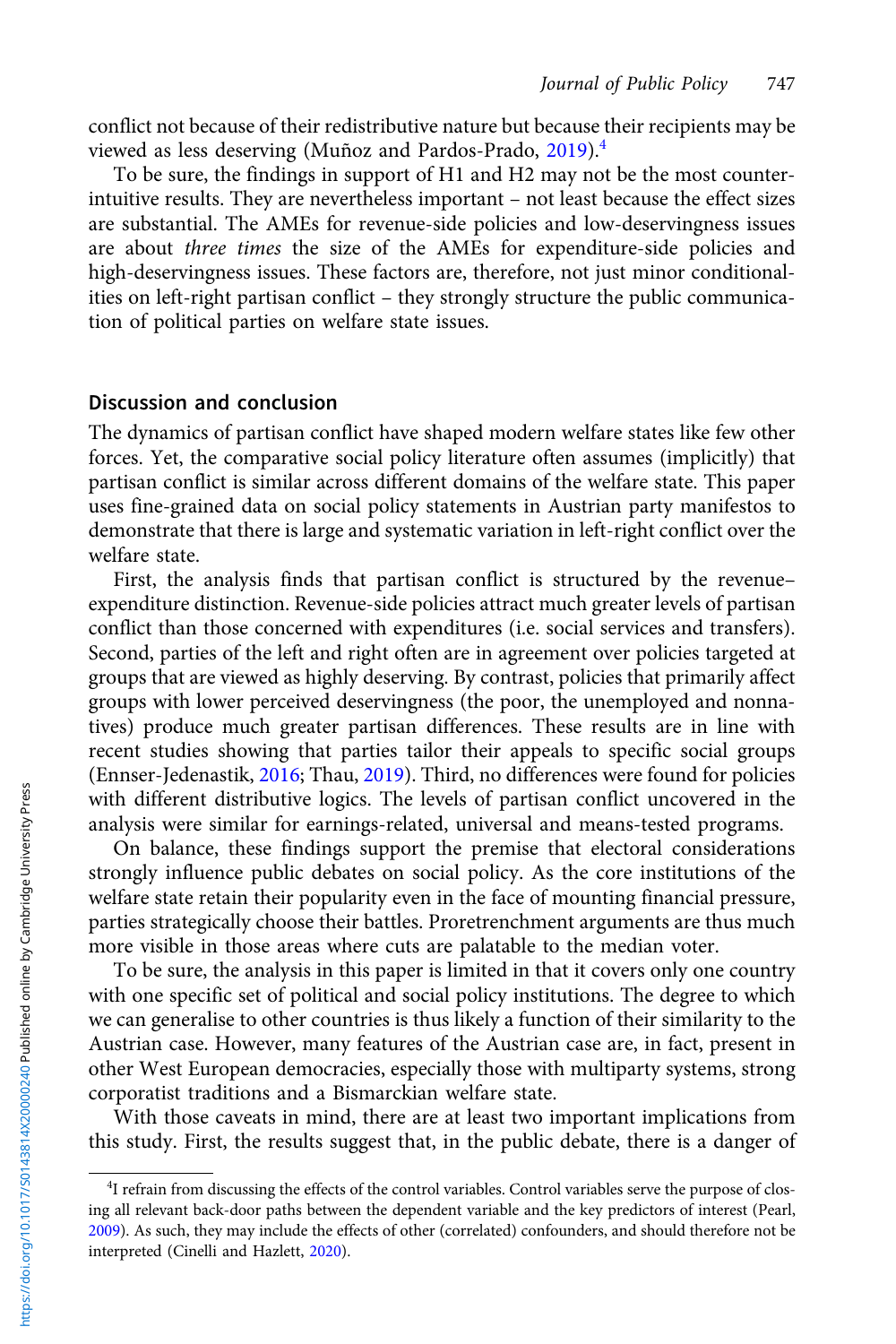conflict not because of their redistributive nature but because their recipients may be viewed as less deserving (Muñoz and Pardos-Prado, [2019](#page-19-0)).<sup>4</sup>

To be sure, the findings in support of H1 and H2 may not be the most counterintuitive results. They are nevertheless important – not least because the effect sizes are substantial. The AMEs for revenue-side policies and low-deservingness issues are about three times the size of the AMEs for expenditure-side policies and high-deservingness issues. These factors are, therefore, not just minor conditionalities on left-right partisan conflict – they strongly structure the public communication of political parties on welfare state issues.

## Discussion and conclusion

The dynamics of partisan conflict have shaped modern welfare states like few other forces. Yet, the comparative social policy literature often assumes (implicitly) that partisan conflict is similar across different domains of the welfare state. This paper uses fine-grained data on social policy statements in Austrian party manifestos to demonstrate that there is large and systematic variation in left-right conflict over the welfare state.

First, the analysis finds that partisan conflict is structured by the revenue– expenditure distinction. Revenue-side policies attract much greater levels of partisan conflict than those concerned with expenditures (i.e. social services and transfers). Second, parties of the left and right often are in agreement over policies targeted at groups that are viewed as highly deserving. By contrast, policies that primarily affect groups with lower perceived deservingness (the poor, the unemployed and nonnatives) produce much greater partisan differences. These results are in line with recent studies showing that parties tailor their appeals to specific social groups (Ennser-Jedenastik, [2016](#page-18-0); Thau, [2019](#page-20-0)). Third, no differences were found for policies with different distributive logics. The levels of partisan conflict uncovered in the analysis were similar for earnings-related, universal and means-tested programs.

On balance, these findings support the premise that electoral considerations strongly influence public debates on social policy. As the core institutions of the welfare state retain their popularity even in the face of mounting financial pressure, parties strategically choose their battles. Proretrenchment arguments are thus much more visible in those areas where cuts are palatable to the median voter.

To be sure, the analysis in this paper is limited in that it covers only one country with one specific set of political and social policy institutions. The degree to which we can generalise to other countries is thus likely a function of their similarity to the Austrian case. However, many features of the Austrian case are, in fact, present in other West European democracies, especially those with multiparty systems, strong corporatist traditions and a Bismarckian welfare state.

With those caveats in mind, there are at least two important implications from this study. First, the results suggest that, in the public debate, there is a danger of

<sup>&</sup>lt;sup>4</sup>I refrain from discussing the effects of the control variables. Control variables serve the purpose of closing all relevant back-door paths between the dependent variable and the key predictors of interest (Pearl, [2009\)](#page-19-0). As such, they may include the effects of other (correlated) confounders, and should therefore not be interpreted (Cinelli and Hazlett, [2020](#page-18-0)).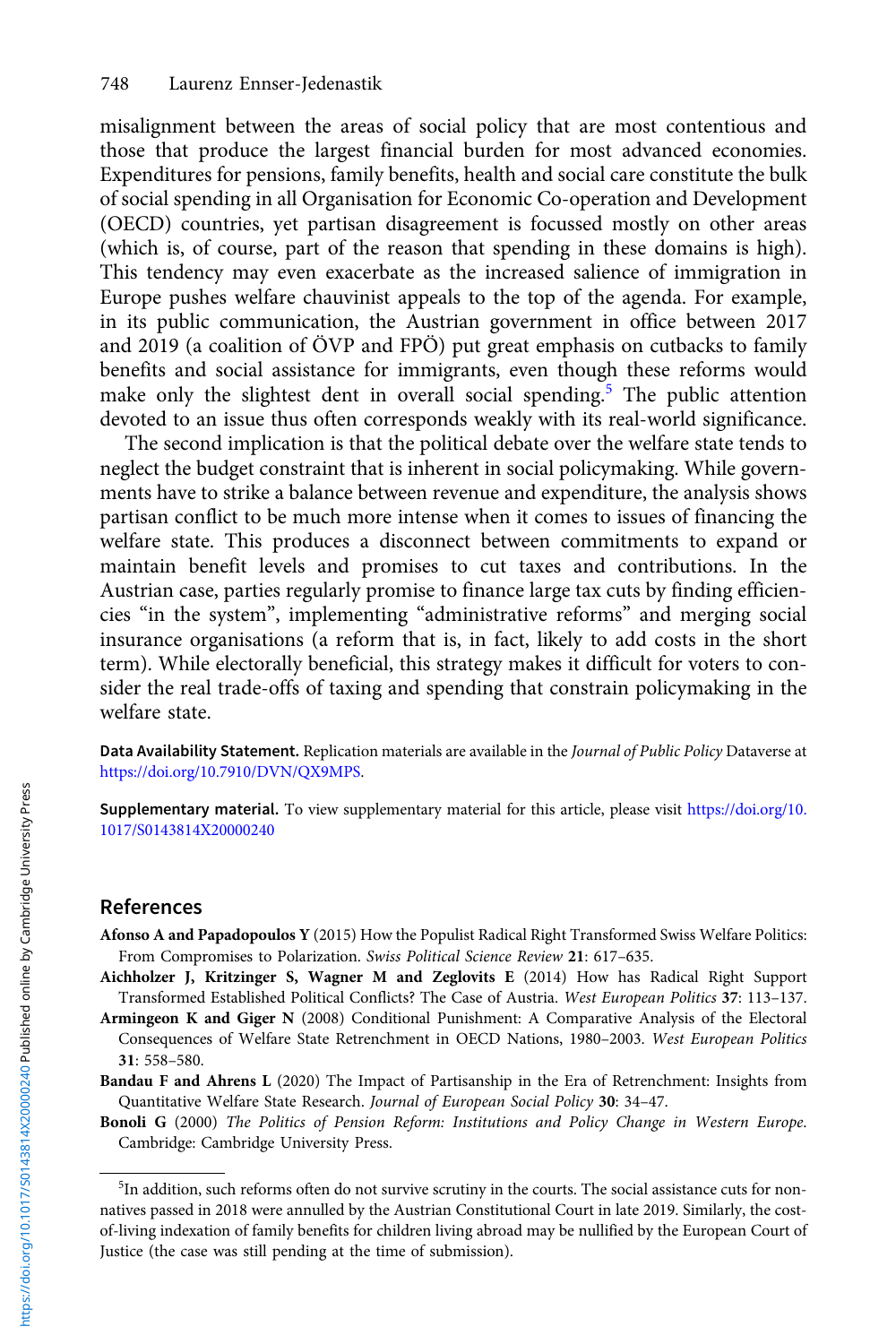<span id="page-17-0"></span>misalignment between the areas of social policy that are most contentious and those that produce the largest financial burden for most advanced economies. Expenditures for pensions, family benefits, health and social care constitute the bulk of social spending in all Organisation for Economic Co-operation and Development (OECD) countries, yet partisan disagreement is focussed mostly on other areas (which is, of course, part of the reason that spending in these domains is high). This tendency may even exacerbate as the increased salience of immigration in Europe pushes welfare chauvinist appeals to the top of the agenda. For example, in its public communication, the Austrian government in office between 2017 and 2019 (a coalition of ÖVP and FPÖ) put great emphasis on cutbacks to family benefits and social assistance for immigrants, even though these reforms would make only the slightest dent in overall social spending.<sup>5</sup> The public attention devoted to an issue thus often corresponds weakly with its real-world significance.

The second implication is that the political debate over the welfare state tends to neglect the budget constraint that is inherent in social policymaking. While governments have to strike a balance between revenue and expenditure, the analysis shows partisan conflict to be much more intense when it comes to issues of financing the welfare state. This produces a disconnect between commitments to expand or maintain benefit levels and promises to cut taxes and contributions. In the Austrian case, parties regularly promise to finance large tax cuts by finding efficiencies "in the system", implementing "administrative reforms" and merging social insurance organisations (a reform that is, in fact, likely to add costs in the short term). While electorally beneficial, this strategy makes it difficult for voters to consider the real trade-offs of taxing and spending that constrain policymaking in the welfare state.

Data Availability Statement. Replication materials are available in the Journal of Public Policy Dataverse at <https://doi.org/10.7910/DVN/QX9MPS>.

Supplementary material. To view supplementary material for this article, please visit [https://doi.org/10.](https://doi.org/10.1017/S0143814X20000240) [1017/S0143814X20000240](https://doi.org/10.1017/S0143814X20000240)

## References

- Afonso A and Papadopoulos Y (2015) How the Populist Radical Right Transformed Swiss Welfare Politics: From Compromises to Polarization. Swiss Political Science Review 21: 617–635.
- Aichholzer J, Kritzinger S, Wagner M and Zeglovits E (2014) How has Radical Right Support Transformed Established Political Conflicts? The Case of Austria. West European Politics 37: 113–137.
- Armingeon K and Giger N (2008) Conditional Punishment: A Comparative Analysis of the Electoral Consequences of Welfare State Retrenchment in OECD Nations, 1980–2003. West European Politics 31: 558–580.
- Bandau F and Ahrens L (2020) The Impact of Partisanship in the Era of Retrenchment: Insights from Quantitative Welfare State Research. Journal of European Social Policy 30: 34–47.
- Bonoli G (2000) The Politics of Pension Reform: Institutions and Policy Change in Western Europe. Cambridge: Cambridge University Press.

<sup>&</sup>lt;sup>5</sup>In addition, such reforms often do not survive scrutiny in the courts. The social assistance cuts for nonnatives passed in 2018 were annulled by the Austrian Constitutional Court in late 2019. Similarly, the costof-living indexation of family benefits for children living abroad may be nullified by the European Court of Justice (the case was still pending at the time of submission).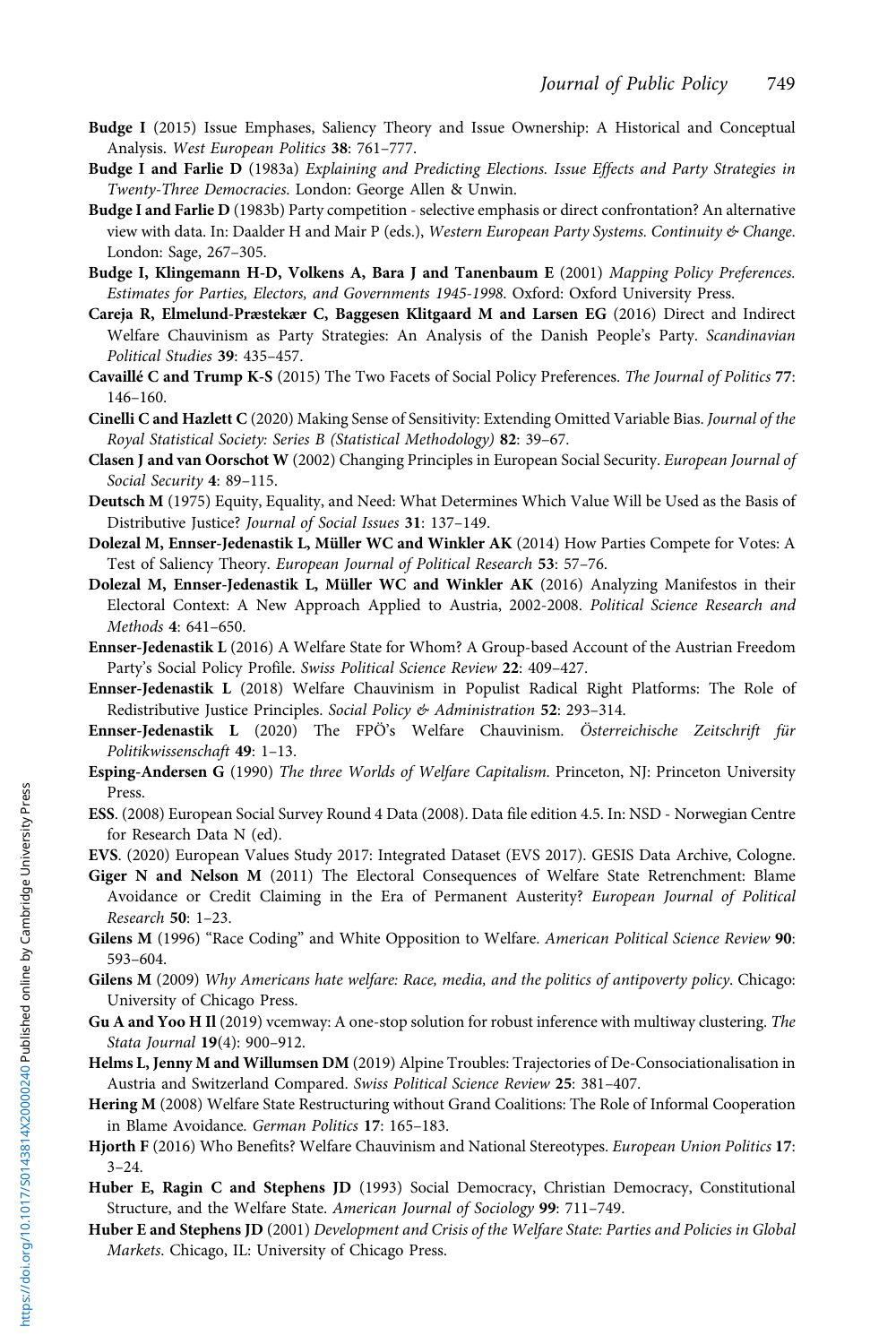- <span id="page-18-0"></span>Budge I (2015) Issue Emphases, Saliency Theory and Issue Ownership: A Historical and Conceptual Analysis. West European Politics 38: 761–777.
- Budge I and Farlie D (1983a) Explaining and Predicting Elections. Issue Effects and Party Strategies in Twenty-Three Democracies. London: George Allen & Unwin.
- Budge I and Farlie D (1983b) Party competition selective emphasis or direct confrontation? An alternative view with data. In: Daalder H and Mair P (eds.), Western European Party Systems. Continuity & Change. London: Sage, 267–305.
- Budge I, Klingemann H-D, Volkens A, Bara J and Tanenbaum E (2001) Mapping Policy Preferences. Estimates for Parties, Electors, and Governments 1945-1998. Oxford: Oxford University Press.
- Careja R, Elmelund-Præstekær C, Baggesen Klitgaard M and Larsen EG (2016) Direct and Indirect Welfare Chauvinism as Party Strategies: An Analysis of the Danish People's Party. Scandinavian Political Studies 39: 435–457.
- Cavaillé C and Trump K-S (2015) The Two Facets of Social Policy Preferences. The Journal of Politics 77: 146–160.
- Cinelli C and Hazlett C (2020) Making Sense of Sensitivity: Extending Omitted Variable Bias. Journal of the Royal Statistical Society: Series B (Statistical Methodology) 82: 39–67.
- Clasen J and van Oorschot W (2002) Changing Principles in European Social Security. European Journal of Social Security 4: 89–115.
- Deutsch M (1975) Equity, Equality, and Need: What Determines Which Value Will be Used as the Basis of Distributive Justice? Journal of Social Issues 31: 137–149.
- Dolezal M, Ennser-Jedenastik L, Müller WC and Winkler AK (2014) How Parties Compete for Votes: A Test of Saliency Theory. European Journal of Political Research 53: 57–76.
- Dolezal M, Ennser-Jedenastik L, Müller WC and Winkler AK (2016) Analyzing Manifestos in their Electoral Context: A New Approach Applied to Austria, 2002-2008. Political Science Research and Methods 4: 641–650.
- Ennser-Jedenastik L (2016) A Welfare State for Whom? A Group-based Account of the Austrian Freedom Party's Social Policy Profile. Swiss Political Science Review 22: 409–427.
- Ennser-Jedenastik L (2018) Welfare Chauvinism in Populist Radical Right Platforms: The Role of Redistributive Justice Principles. Social Policy & Administration 52: 293-314.
- Ennser-Jedenastik L (2020) The FPÖ's Welfare Chauvinism. Österreichische Zeitschrift für Politikwissenschaft 49: 1–13.
- Esping-Andersen G (1990) The three Worlds of Welfare Capitalism. Princeton, NJ: Princeton University Press.
- ESS. (2008) European Social Survey Round 4 Data (2008). Data file edition 4.5. In: NSD Norwegian Centre for Research Data N (ed).
- EVS. (2020) European Values Study 2017: Integrated Dataset (EVS 2017). GESIS Data Archive, Cologne.
- Giger N and Nelson M (2011) The Electoral Consequences of Welfare State Retrenchment: Blame Avoidance or Credit Claiming in the Era of Permanent Austerity? European Journal of Political Research 50: 1–23.
- Gilens M (1996) "Race Coding" and White Opposition to Welfare. American Political Science Review 90: 593–604.
- Gilens M (2009) Why Americans hate welfare: Race, media, and the politics of antipoverty policy. Chicago: University of Chicago Press.
- Gu A and Yoo H Il (2019) vcemway: A one-stop solution for robust inference with multiway clustering. The Stata Journal 19(4): 900–912.
- Helms L, Jenny M and Willumsen DM (2019) Alpine Troubles: Trajectories of De-Consociationalisation in Austria and Switzerland Compared. Swiss Political Science Review 25: 381–407.
- Hering M (2008) Welfare State Restructuring without Grand Coalitions: The Role of Informal Cooperation in Blame Avoidance. German Politics 17: 165–183.
- Hjorth F (2016) Who Benefits? Welfare Chauvinism and National Stereotypes. European Union Politics 17: 3–24.
- Huber E, Ragin C and Stephens JD (1993) Social Democracy, Christian Democracy, Constitutional Structure, and the Welfare State. American Journal of Sociology 99: 711–749.
- Huber E and Stephens JD (2001) Development and Crisis of the Welfare State: Parties and Policies in Global Markets. Chicago, IL: University of Chicago Press.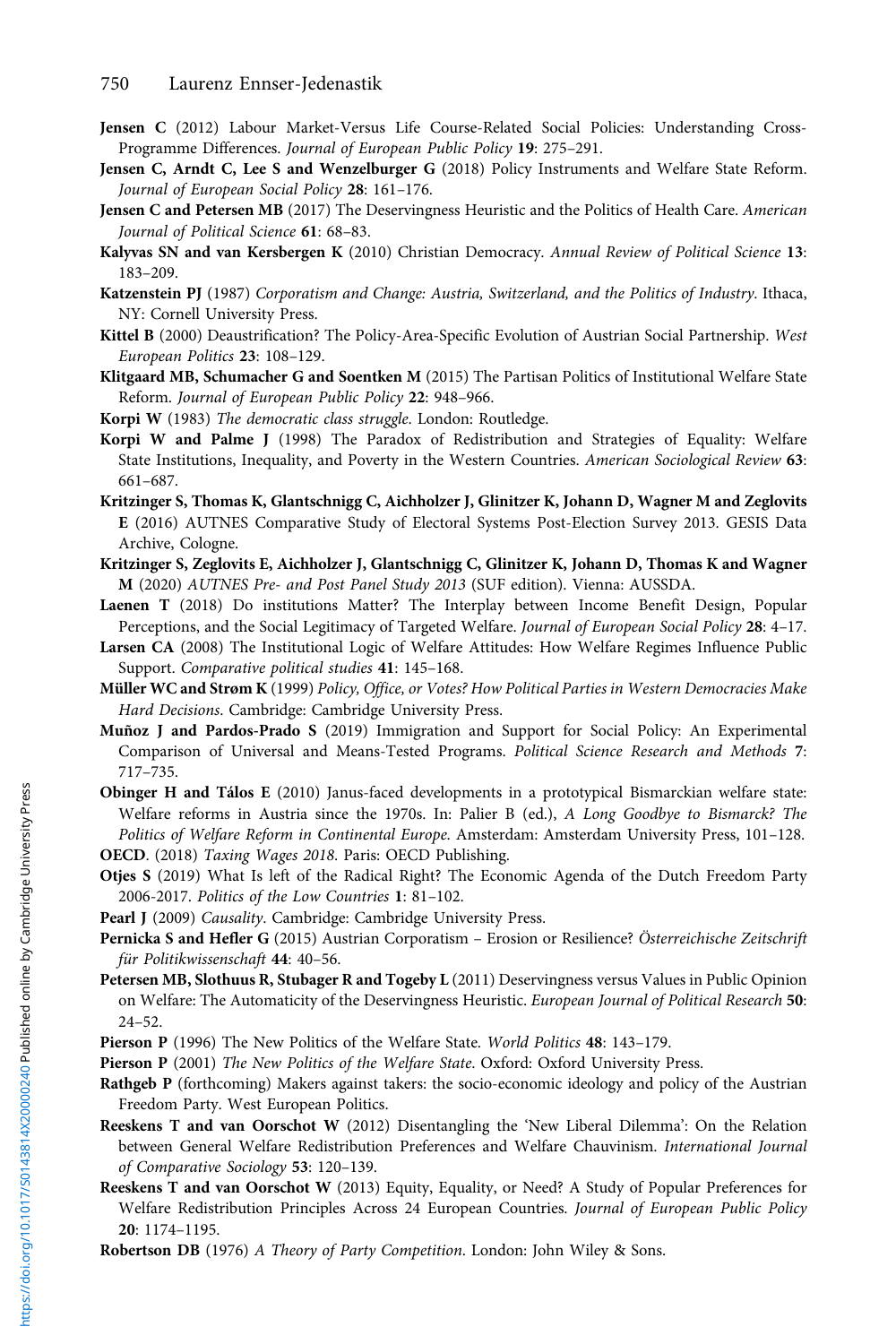- <span id="page-19-0"></span>Jensen C (2012) Labour Market-Versus Life Course-Related Social Policies: Understanding Cross-Programme Differences. Journal of European Public Policy 19: 275–291.
- Jensen C, Arndt C, Lee S and Wenzelburger G (2018) Policy Instruments and Welfare State Reform. Journal of European Social Policy 28: 161–176.
- Jensen C and Petersen MB (2017) The Deservingness Heuristic and the Politics of Health Care. American Journal of Political Science 61: 68–83.
- Kalyvas SN and van Kersbergen K (2010) Christian Democracy. Annual Review of Political Science 13: 183–209.
- Katzenstein PJ (1987) Corporatism and Change: Austria, Switzerland, and the Politics of Industry. Ithaca, NY: Cornell University Press.
- Kittel B (2000) Deaustrification? The Policy-Area-Specific Evolution of Austrian Social Partnership. West European Politics 23: 108–129.
- Klitgaard MB, Schumacher G and Soentken M (2015) The Partisan Politics of Institutional Welfare State Reform. Journal of European Public Policy 22: 948–966.
- Korpi W (1983) The democratic class struggle. London: Routledge.
- Korpi W and Palme J (1998) The Paradox of Redistribution and Strategies of Equality: Welfare State Institutions, Inequality, and Poverty in the Western Countries. American Sociological Review 63: 661–687.
- Kritzinger S, Thomas K, Glantschnigg C, Aichholzer J, Glinitzer K, Johann D, Wagner M and Zeglovits E (2016) AUTNES Comparative Study of Electoral Systems Post-Election Survey 2013. GESIS Data Archive, Cologne.
- Kritzinger S, Zeglovits E, Aichholzer J, Glantschnigg C, Glinitzer K, Johann D, Thomas K and Wagner M (2020) AUTNES Pre- and Post Panel Study 2013 (SUF edition). Vienna: AUSSDA.
- Laenen T (2018) Do institutions Matter? The Interplay between Income Benefit Design, Popular Perceptions, and the Social Legitimacy of Targeted Welfare. Journal of European Social Policy 28: 4–17.
- Larsen CA (2008) The Institutional Logic of Welfare Attitudes: How Welfare Regimes Influence Public Support. Comparative political studies 41: 145–168.
- Müller WC and Strøm K (1999) Policy, Office, or Votes? How Political Parties in Western Democracies Make Hard Decisions. Cambridge: Cambridge University Press.
- Muñoz J and Pardos-Prado S (2019) Immigration and Support for Social Policy: An Experimental Comparison of Universal and Means-Tested Programs. Political Science Research and Methods 7: 717–735.
- Obinger H and Tálos E (2010) Janus-faced developments in a prototypical Bismarckian welfare state: Welfare reforms in Austria since the 1970s. In: Palier B (ed.), A Long Goodbye to Bismarck? The Politics of Welfare Reform in Continental Europe. Amsterdam: Amsterdam University Press, 101–128. OECD. (2018) Taxing Wages 2018. Paris: OECD Publishing.
- Otjes S (2019) What Is left of the Radical Right? The Economic Agenda of the Dutch Freedom Party 2006-2017. Politics of the Low Countries 1: 81–102.
- Pearl J (2009) Causality. Cambridge: Cambridge University Press.
- Pernicka S and Hefler G (2015) Austrian Corporatism Erosion or Resilience? Österreichische Zeitschrift für Politikwissenschaft 44: 40–56.
- Petersen MB, Slothuus R, Stubager R and Togeby L (2011) Deservingness versus Values in Public Opinion on Welfare: The Automaticity of the Deservingness Heuristic. European Journal of Political Research 50: 24–52.
- Pierson P (1996) The New Politics of the Welfare State. World Politics 48: 143-179.
- Pierson P (2001) The New Politics of the Welfare State. Oxford: Oxford University Press.
- Rathgeb P (forthcoming) Makers against takers: the socio-economic ideology and policy of the Austrian Freedom Party. West European Politics.
- Reeskens T and van Oorschot W (2012) Disentangling the 'New Liberal Dilemma': On the Relation between General Welfare Redistribution Preferences and Welfare Chauvinism. International Journal of Comparative Sociology 53: 120–139.
- Reeskens T and van Oorschot W (2013) Equity, Equality, or Need? A Study of Popular Preferences for Welfare Redistribution Principles Across 24 European Countries. Journal of European Public Policy 20: 1174–1195.
- Robertson DB (1976) A Theory of Party Competition. London: John Wiley & Sons.